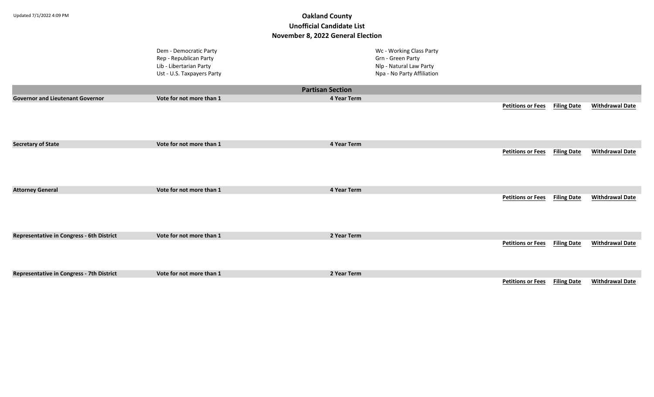|                                                  | Dem - Democratic Party<br>Rep - Republican Party<br>Lib - Libertarian Party<br>Ust - U.S. Taxpayers Party |                         | Wc - Working Class Party<br>Grn - Green Party<br>Nlp - Natural Law Party<br>Npa - No Party Affiliation |                                                                                                                                                                                                                                    |                    |                        |
|--------------------------------------------------|-----------------------------------------------------------------------------------------------------------|-------------------------|--------------------------------------------------------------------------------------------------------|------------------------------------------------------------------------------------------------------------------------------------------------------------------------------------------------------------------------------------|--------------------|------------------------|
|                                                  |                                                                                                           | <b>Partisan Section</b> |                                                                                                        |                                                                                                                                                                                                                                    |                    |                        |
| <b>Governor and Lieutenant Governor</b>          | Vote for not more than 1                                                                                  | 4 Year Term             |                                                                                                        |                                                                                                                                                                                                                                    |                    |                        |
|                                                  |                                                                                                           |                         |                                                                                                        | <b>Petitions or Fees</b>                                                                                                                                                                                                           | <b>Filing Date</b> | <b>Withdrawal Date</b> |
| <b>Secretary of State</b>                        | Vote for not more than 1                                                                                  | 4 Year Term             |                                                                                                        |                                                                                                                                                                                                                                    |                    |                        |
|                                                  |                                                                                                           |                         |                                                                                                        | <b>Petitions or Fees</b>                                                                                                                                                                                                           | <b>Filing Date</b> | <b>Withdrawal Date</b> |
| <b>Attorney General</b>                          | Vote for not more than 1                                                                                  | 4 Year Term             |                                                                                                        |                                                                                                                                                                                                                                    |                    |                        |
|                                                  |                                                                                                           |                         |                                                                                                        | <b>Petitions or Fees</b>                                                                                                                                                                                                           | <b>Filing Date</b> | <b>Withdrawal Date</b> |
| Representative in Congress - 6th District        | Vote for not more than 1                                                                                  | 2 Year Term             |                                                                                                        |                                                                                                                                                                                                                                    |                    |                        |
|                                                  |                                                                                                           |                         |                                                                                                        | <b>Petitions or Fees</b>                                                                                                                                                                                                           | <b>Filing Date</b> | <b>Withdrawal Date</b> |
| <b>Representative in Congress - 7th District</b> | Vote for not more than 1                                                                                  | 2 Year Term             |                                                                                                        |                                                                                                                                                                                                                                    |                    |                        |
|                                                  |                                                                                                           |                         |                                                                                                        | $\mathbb{R}^{n}$ . The contract of the contract of the contract of the contract of the contract of the contract of the contract of the contract of the contract of the contract of the contract of the contract of the contract of |                    |                        |

**Petitions or Fees Filing Date Withdrawal Date**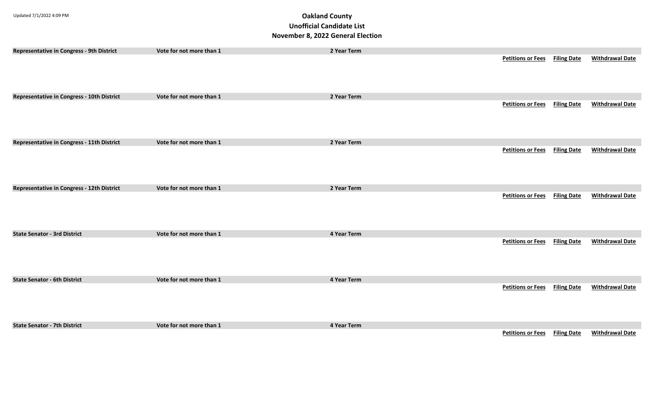| Representative in Congress - 9th District  | Vote for not more than 1 | 2 Year Term |                          |                    |                        |
|--------------------------------------------|--------------------------|-------------|--------------------------|--------------------|------------------------|
|                                            |                          |             | <b>Petitions or Fees</b> | <b>Filing Date</b> | <b>Withdrawal Date</b> |
|                                            |                          |             |                          |                    |                        |
|                                            |                          |             |                          |                    |                        |
|                                            |                          |             |                          |                    |                        |
| Representative in Congress - 10th District | Vote for not more than 1 | 2 Year Term | <b>Petitions or Fees</b> | <b>Filing Date</b> | <b>Withdrawal Date</b> |
|                                            |                          |             |                          |                    |                        |
|                                            |                          |             |                          |                    |                        |
|                                            |                          |             |                          |                    |                        |
| Representative in Congress - 11th District | Vote for not more than 1 | 2 Year Term |                          |                    |                        |
|                                            |                          |             | <b>Petitions or Fees</b> | <b>Filing Date</b> | <b>Withdrawal Date</b> |
|                                            |                          |             |                          |                    |                        |
|                                            |                          |             |                          |                    |                        |
|                                            |                          |             |                          |                    |                        |
| Representative in Congress - 12th District | Vote for not more than 1 | 2 Year Term |                          |                    |                        |
|                                            |                          |             | <b>Petitions or Fees</b> | <b>Filing Date</b> | <b>Withdrawal Date</b> |
|                                            |                          |             |                          |                    |                        |
|                                            |                          |             |                          |                    |                        |
|                                            |                          |             |                          |                    |                        |
| <b>State Senator - 3rd District</b>        | Vote for not more than 1 | 4 Year Term |                          |                    |                        |
|                                            |                          |             | <b>Petitions or Fees</b> | <b>Filing Date</b> | <b>Withdrawal Date</b> |
|                                            |                          |             |                          |                    |                        |
|                                            |                          |             |                          |                    |                        |
|                                            |                          |             |                          |                    |                        |
| <b>State Senator - 6th District</b>        | Vote for not more than 1 | 4 Year Term |                          |                    |                        |
|                                            |                          |             | <b>Petitions or Fees</b> | <b>Filing Date</b> | <b>Withdrawal Date</b> |
|                                            |                          |             |                          |                    |                        |
|                                            |                          |             |                          |                    |                        |
|                                            |                          |             |                          |                    |                        |
| <b>State Senator - 7th District</b>        | Vote for not more than 1 | 4 Year Term |                          |                    |                        |
|                                            |                          |             | <b>Petitions or Fees</b> | <b>Filing Date</b> | <b>Withdrawal Date</b> |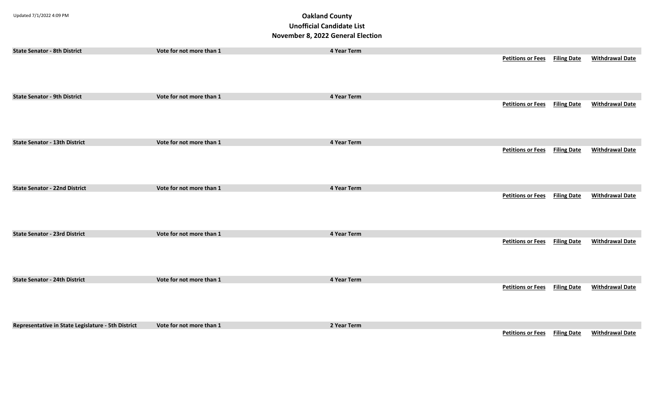| <b>State Senator - 8th District</b>                | Vote for not more than 1 | 4 Year Term |                                      |                    |                        |
|----------------------------------------------------|--------------------------|-------------|--------------------------------------|--------------------|------------------------|
|                                                    |                          |             | <b>Petitions or Fees</b>             | <b>Filing Date</b> | <b>Withdrawal Date</b> |
| <b>State Senator - 9th District</b>                | Vote for not more than 1 | 4 Year Term |                                      |                    |                        |
|                                                    |                          |             | <b>Petitions or Fees</b> Filing Date |                    | <b>Withdrawal Date</b> |
| <b>State Senator - 13th District</b>               | Vote for not more than 1 | 4 Year Term |                                      |                    |                        |
|                                                    |                          |             | <b>Petitions or Fees</b> Filing Date |                    | <b>Withdrawal Date</b> |
| <b>State Senator - 22nd District</b>               | Vote for not more than 1 | 4 Year Term |                                      |                    |                        |
|                                                    |                          |             | <b>Petitions or Fees</b>             | <b>Filing Date</b> | <b>Withdrawal Date</b> |
| <b>State Senator - 23rd District</b>               | Vote for not more than 1 | 4 Year Term |                                      |                    |                        |
|                                                    |                          |             | <b>Petitions or Fees</b>             | <b>Filing Date</b> | <b>Withdrawal Date</b> |
| <b>State Senator - 24th District</b>               | Vote for not more than 1 | 4 Year Term |                                      |                    |                        |
|                                                    |                          |             | <b>Petitions or Fees Filing Date</b> |                    | <b>Withdrawal Date</b> |
| Representative in State Legislature - 5th District | Vote for not more than 1 | 2 Year Term |                                      |                    |                        |
|                                                    |                          |             | <b>Petitions or Fees</b> Filing Date |                    | <b>Withdrawal Date</b> |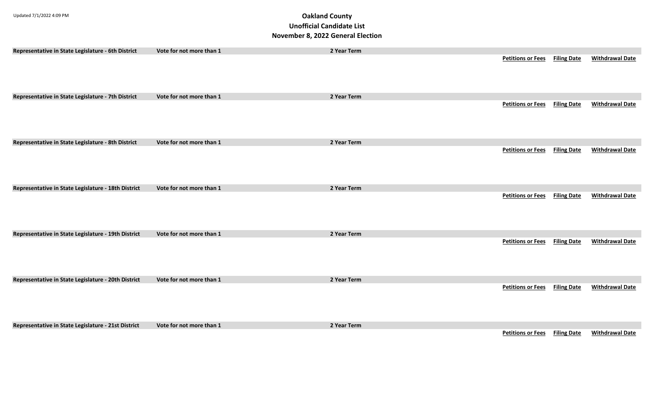| Representative in State Legislature - 6th District  | Vote for not more than 1 | 2 Year Term |                                      |                    |                        |
|-----------------------------------------------------|--------------------------|-------------|--------------------------------------|--------------------|------------------------|
|                                                     |                          |             | <b>Petitions or Fees Filing Date</b> |                    | <b>Withdrawal Date</b> |
|                                                     |                          |             |                                      |                    |                        |
|                                                     |                          |             |                                      |                    |                        |
|                                                     |                          |             |                                      |                    |                        |
| Representative in State Legislature - 7th District  | Vote for not more than 1 | 2 Year Term |                                      |                    |                        |
|                                                     |                          |             | <b>Petitions or Fees</b>             | <b>Filing Date</b> | <b>Withdrawal Date</b> |
|                                                     |                          |             |                                      |                    |                        |
|                                                     |                          |             |                                      |                    |                        |
|                                                     |                          |             |                                      |                    |                        |
| Representative in State Legislature - 8th District  | Vote for not more than 1 | 2 Year Term |                                      |                    |                        |
|                                                     |                          |             | <b>Petitions or Fees</b>             | <b>Filing Date</b> | <b>Withdrawal Date</b> |
|                                                     |                          |             |                                      |                    |                        |
|                                                     |                          |             |                                      |                    |                        |
|                                                     |                          |             |                                      |                    |                        |
|                                                     |                          |             |                                      |                    |                        |
| Representative in State Legislature - 18th District | Vote for not more than 1 | 2 Year Term | <b>Petitions or Fees</b>             | <b>Filing Date</b> | <b>Withdrawal Date</b> |
|                                                     |                          |             |                                      |                    |                        |
|                                                     |                          |             |                                      |                    |                        |
|                                                     |                          |             |                                      |                    |                        |
|                                                     |                          |             |                                      |                    |                        |
| Representative in State Legislature - 19th District | Vote for not more than 1 | 2 Year Term |                                      |                    |                        |
|                                                     |                          |             | <b>Petitions or Fees</b>             | <b>Filing Date</b> | <b>Withdrawal Date</b> |
|                                                     |                          |             |                                      |                    |                        |
|                                                     |                          |             |                                      |                    |                        |
|                                                     |                          |             |                                      |                    |                        |
| Representative in State Legislature - 20th District | Vote for not more than 1 | 2 Year Term |                                      |                    |                        |
|                                                     |                          |             | <b>Petitions or Fees</b>             | <b>Filing Date</b> | <b>Withdrawal Date</b> |
|                                                     |                          |             |                                      |                    |                        |
|                                                     |                          |             |                                      |                    |                        |
|                                                     |                          |             |                                      |                    |                        |
|                                                     |                          |             |                                      |                    |                        |
| Representative in State Legislature - 21st District | Vote for not more than 1 | 2 Year Term | <b>Petitions or Fees</b>             | <b>Filing Date</b> | <b>Withdrawal Date</b> |
|                                                     |                          |             |                                      |                    |                        |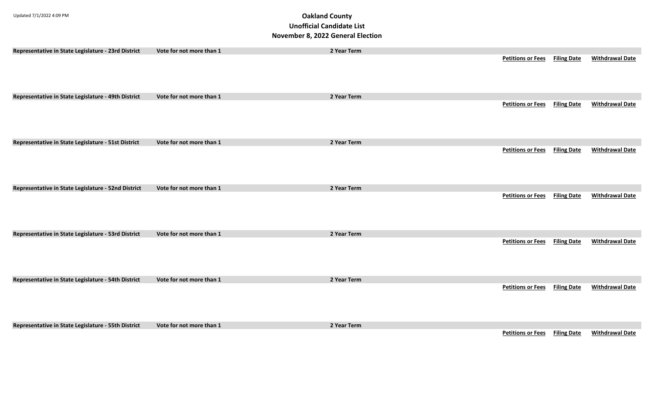| Representative in State Legislature - 23rd District | Vote for not more than 1 | 2 Year Term |                                      |                    |                        |
|-----------------------------------------------------|--------------------------|-------------|--------------------------------------|--------------------|------------------------|
|                                                     |                          |             | <b>Petitions or Fees Filing Date</b> |                    | <b>Withdrawal Date</b> |
|                                                     |                          |             |                                      |                    |                        |
|                                                     |                          |             |                                      |                    |                        |
|                                                     |                          |             |                                      |                    |                        |
| Representative in State Legislature - 49th District | Vote for not more than 1 | 2 Year Term |                                      |                    |                        |
|                                                     |                          |             | <b>Petitions or Fees Filing Date</b> |                    | <b>Withdrawal Date</b> |
|                                                     |                          |             |                                      |                    |                        |
|                                                     |                          |             |                                      |                    |                        |
|                                                     |                          |             |                                      |                    |                        |
|                                                     |                          |             |                                      |                    |                        |
| Representative in State Legislature - 51st District | Vote for not more than 1 | 2 Year Term |                                      |                    |                        |
|                                                     |                          |             | <b>Petitions or Fees</b>             | <b>Filing Date</b> | <b>Withdrawal Date</b> |
|                                                     |                          |             |                                      |                    |                        |
|                                                     |                          |             |                                      |                    |                        |
|                                                     |                          |             |                                      |                    |                        |
| Representative in State Legislature - 52nd District | Vote for not more than 1 | 2 Year Term |                                      |                    |                        |
|                                                     |                          |             | <b>Petitions or Fees Filing Date</b> |                    | <b>Withdrawal Date</b> |
|                                                     |                          |             |                                      |                    |                        |
|                                                     |                          |             |                                      |                    |                        |
|                                                     |                          |             |                                      |                    |                        |
|                                                     |                          |             |                                      |                    |                        |
| Representative in State Legislature - 53rd District | Vote for not more than 1 | 2 Year Term |                                      |                    |                        |
|                                                     |                          |             | <b>Petitions or Fees</b>             | <b>Filing Date</b> | <b>Withdrawal Date</b> |
|                                                     |                          |             |                                      |                    |                        |
|                                                     |                          |             |                                      |                    |                        |
|                                                     |                          |             |                                      |                    |                        |
| Representative in State Legislature - 54th District | Vote for not more than 1 | 2 Year Term |                                      |                    |                        |
|                                                     |                          |             | <b>Petitions or Fees</b>             | <b>Filing Date</b> | <b>Withdrawal Date</b> |
|                                                     |                          |             |                                      |                    |                        |
|                                                     |                          |             |                                      |                    |                        |
|                                                     |                          |             |                                      |                    |                        |
|                                                     |                          |             |                                      |                    |                        |
| Representative in State Legislature - 55th District | Vote for not more than 1 | 2 Year Term |                                      |                    |                        |
|                                                     |                          |             | <b>Petitions or Fees Filing Date</b> |                    | <b>Withdrawal Date</b> |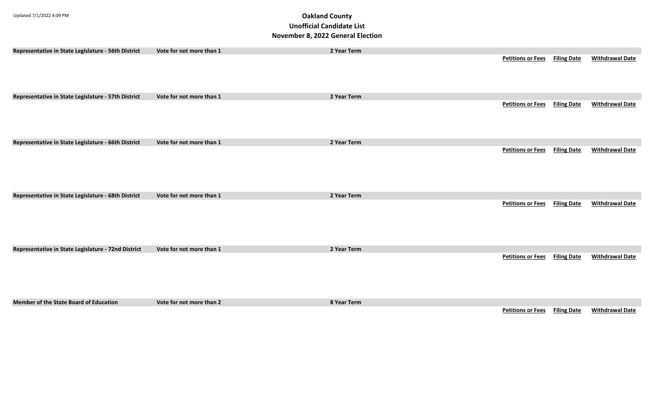| Representative in State Legislature - 56th District | Vote for not more than 1 | 2 Year Term |                          |                    |                        |
|-----------------------------------------------------|--------------------------|-------------|--------------------------|--------------------|------------------------|
|                                                     |                          |             | <b>Petitions or Fees</b> | <b>Filing Date</b> | <b>Withdrawal Date</b> |
| Representative in State Legislature - 57th District | Vote for not more than 1 | 2 Year Term |                          |                    |                        |
|                                                     |                          |             | <b>Petitions or Fees</b> | <b>Filing Date</b> | <b>Withdrawal Date</b> |
| Representative in State Legislature - 66th District | Vote for not more than 1 | 2 Year Term |                          |                    |                        |
|                                                     |                          |             | <b>Petitions or Fees</b> | <b>Filing Date</b> | <b>Withdrawal Date</b> |
| Representative in State Legislature - 68th District | Vote for not more than 1 | 2 Year Term |                          |                    |                        |
|                                                     |                          |             | <b>Petitions or Fees</b> | <b>Filing Date</b> | <b>Withdrawal Date</b> |
| Representative in State Legislature - 72nd District | Vote for not more than 1 | 2 Year Term |                          |                    |                        |
|                                                     |                          |             | <b>Petitions or Fees</b> | <b>Filing Date</b> | <b>Withdrawal Date</b> |
| <b>Member of the State Board of Education</b>       | Vote for not more than 2 | 8 Year Term |                          |                    |                        |
|                                                     |                          |             | <b>Petitions or Fees</b> | <b>Filing Date</b> | <b>Withdrawal Date</b> |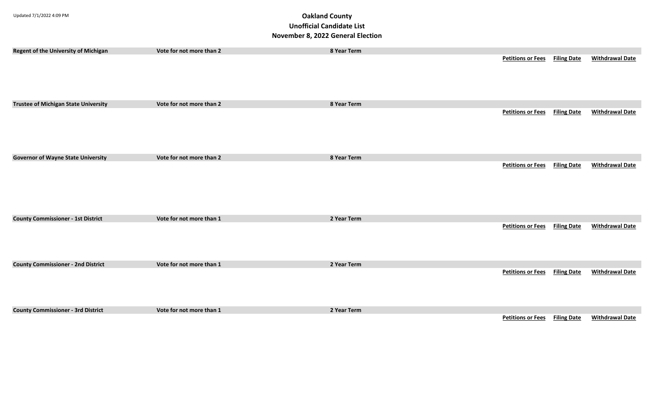| Regent of the University of Michigan        | Vote for not more than 2 | 8 Year Term | <b>Petitions or Fees</b> | <b>Filing Date</b> | <b>Withdrawal Date</b> |
|---------------------------------------------|--------------------------|-------------|--------------------------|--------------------|------------------------|
| <b>Trustee of Michigan State University</b> | Vote for not more than 2 | 8 Year Term |                          |                    |                        |
|                                             |                          |             | <b>Petitions or Fees</b> | <b>Filing Date</b> | <b>Withdrawal Date</b> |
| <b>Governor of Wayne State University</b>   | Vote for not more than 2 | 8 Year Term |                          |                    |                        |
|                                             |                          |             | <b>Petitions or Fees</b> | <b>Filing Date</b> | <b>Withdrawal Date</b> |
| <b>County Commissioner - 1st District</b>   | Vote for not more than 1 | 2 Year Term |                          |                    |                        |
|                                             |                          |             | <b>Petitions or Fees</b> | <b>Filing Date</b> | <b>Withdrawal Date</b> |
| <b>County Commissioner - 2nd District</b>   | Vote for not more than 1 | 2 Year Term |                          |                    |                        |
|                                             |                          |             | <b>Petitions or Fees</b> | <b>Filing Date</b> | <b>Withdrawal Date</b> |
| <b>County Commissioner - 3rd District</b>   | Vote for not more than 1 | 2 Year Term |                          |                    |                        |
|                                             |                          |             | <b>Petitions or Fees</b> | <b>Filing Date</b> | <b>Withdrawal Date</b> |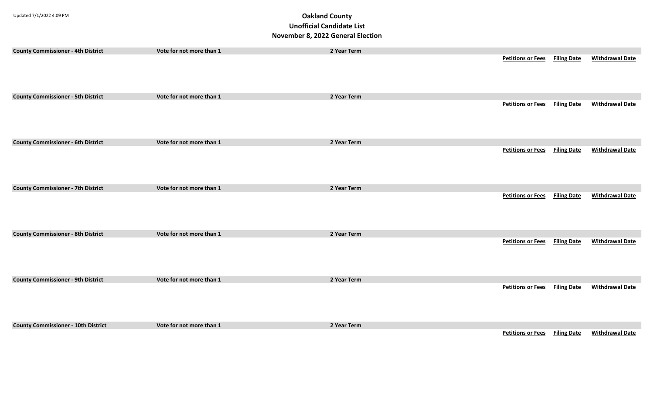| <b>County Commissioner - 4th District</b>  | Vote for not more than 1 | 2 Year Term | <b>Petitions or Fees</b> Filing Date |                    | <b>Withdrawal Date</b> |
|--------------------------------------------|--------------------------|-------------|--------------------------------------|--------------------|------------------------|
| <b>County Commissioner - 5th District</b>  | Vote for not more than 1 | 2 Year Term |                                      |                    |                        |
|                                            |                          |             | <b>Petitions or Fees</b> Filing Date |                    | <b>Withdrawal Date</b> |
| <b>County Commissioner - 6th District</b>  | Vote for not more than 1 | 2 Year Term |                                      |                    |                        |
|                                            |                          |             | <b>Petitions or Fees</b> Filing Date |                    | <b>Withdrawal Date</b> |
| <b>County Commissioner - 7th District</b>  | Vote for not more than 1 | 2 Year Term |                                      |                    |                        |
|                                            |                          |             | <b>Petitions or Fees</b>             | <b>Filing Date</b> | <b>Withdrawal Date</b> |
| <b>County Commissioner - 8th District</b>  | Vote for not more than 1 | 2 Year Term |                                      |                    |                        |
|                                            |                          |             | <b>Petitions or Fees</b>             | <b>Filing Date</b> | <b>Withdrawal Date</b> |
| <b>County Commissioner - 9th District</b>  | Vote for not more than 1 | 2 Year Term |                                      |                    |                        |
|                                            |                          |             | <b>Petitions or Fees</b>             | <b>Filing Date</b> | <b>Withdrawal Date</b> |
| <b>County Commissioner - 10th District</b> | Vote for not more than 1 | 2 Year Term |                                      |                    |                        |
|                                            |                          |             | <b>Petitions or Fees</b> Filing Date |                    | <b>Withdrawal Date</b> |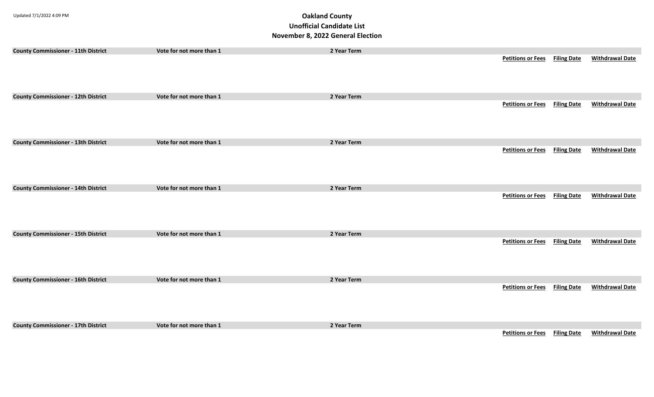| <b>County Commissioner - 11th District</b> | Vote for not more than 1 | 2 Year Term | <b>Petitions or Fees</b> Filing Date |                    | <b>Withdrawal Date</b> |
|--------------------------------------------|--------------------------|-------------|--------------------------------------|--------------------|------------------------|
|                                            |                          |             |                                      |                    |                        |
|                                            |                          |             |                                      |                    |                        |
|                                            |                          |             |                                      |                    |                        |
| <b>County Commissioner - 12th District</b> | Vote for not more than 1 | 2 Year Term |                                      |                    |                        |
|                                            |                          |             | <b>Petitions or Fees</b>             | <b>Filing Date</b> | <b>Withdrawal Date</b> |
|                                            |                          |             |                                      |                    |                        |
|                                            |                          |             |                                      |                    |                        |
|                                            |                          |             |                                      |                    |                        |
| <b>County Commissioner - 13th District</b> | Vote for not more than 1 | 2 Year Term |                                      |                    |                        |
|                                            |                          |             | <b>Petitions or Fees</b>             | <b>Filing Date</b> | <b>Withdrawal Date</b> |
|                                            |                          |             |                                      |                    |                        |
|                                            |                          |             |                                      |                    |                        |
| <b>County Commissioner - 14th District</b> | Vote for not more than 1 | 2 Year Term |                                      |                    |                        |
|                                            |                          |             | <b>Petitions or Fees</b> Filing Date |                    | <b>Withdrawal Date</b> |
|                                            |                          |             |                                      |                    |                        |
|                                            |                          |             |                                      |                    |                        |
|                                            |                          |             |                                      |                    |                        |
| <b>County Commissioner - 15th District</b> | Vote for not more than 1 | 2 Year Term |                                      |                    |                        |
|                                            |                          |             | <b>Petitions or Fees</b>             | <b>Filing Date</b> | <b>Withdrawal Date</b> |
|                                            |                          |             |                                      |                    |                        |
|                                            |                          |             |                                      |                    |                        |
| <b>County Commissioner - 16th District</b> | Vote for not more than 1 | 2 Year Term |                                      |                    |                        |
|                                            |                          |             | <b>Petitions or Fees</b>             | <b>Filing Date</b> | <b>Withdrawal Date</b> |
|                                            |                          |             |                                      |                    |                        |
|                                            |                          |             |                                      |                    |                        |
|                                            |                          |             |                                      |                    |                        |
| <b>County Commissioner - 17th District</b> | Vote for not more than 1 | 2 Year Term |                                      |                    |                        |
|                                            |                          |             | <b>Petitions or Fees</b> Filing Date |                    | <b>Withdrawal Date</b> |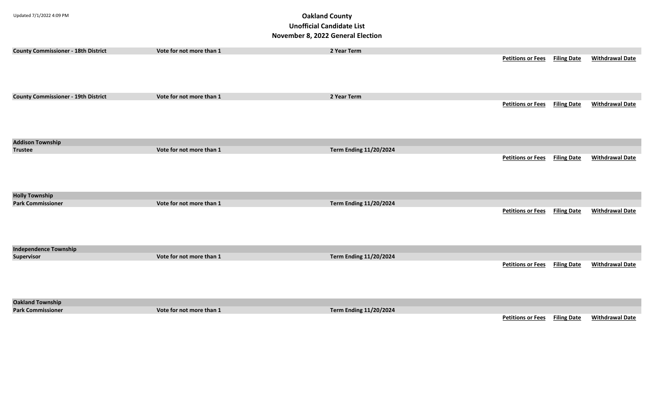| <b>County Commissioner - 18th District</b> | Vote for not more than 1 | 2 Year Term                   |                          |                    |                        |
|--------------------------------------------|--------------------------|-------------------------------|--------------------------|--------------------|------------------------|
|                                            |                          |                               | <b>Petitions or Fees</b> | <b>Filing Date</b> | <b>Withdrawal Date</b> |
|                                            |                          |                               |                          |                    |                        |
|                                            |                          |                               |                          |                    |                        |
|                                            |                          |                               |                          |                    |                        |
|                                            |                          |                               |                          |                    |                        |
| <b>County Commissioner - 19th District</b> | Vote for not more than 1 | 2 Year Term                   |                          |                    |                        |
|                                            |                          |                               | <b>Petitions or Fees</b> | <b>Filing Date</b> | <b>Withdrawal Date</b> |
|                                            |                          |                               |                          |                    |                        |
|                                            |                          |                               |                          |                    |                        |
|                                            |                          |                               |                          |                    |                        |
|                                            |                          |                               |                          |                    |                        |
| <b>Addison Township</b>                    |                          |                               |                          |                    |                        |
| <b>Trustee</b>                             | Vote for not more than 1 | <b>Term Ending 11/20/2024</b> |                          |                    |                        |
|                                            |                          |                               | <b>Petitions or Fees</b> | <b>Filing Date</b> | <b>Withdrawal Date</b> |
|                                            |                          |                               |                          |                    |                        |
|                                            |                          |                               |                          |                    |                        |
|                                            |                          |                               |                          |                    |                        |
|                                            |                          |                               |                          |                    |                        |
| <b>Holly Township</b>                      |                          |                               |                          |                    |                        |
| <b>Park Commissioner</b>                   | Vote for not more than 1 | <b>Term Ending 11/20/2024</b> |                          |                    |                        |
|                                            |                          |                               | <b>Petitions or Fees</b> | <b>Filing Date</b> | <b>Withdrawal Date</b> |
|                                            |                          |                               |                          |                    |                        |
|                                            |                          |                               |                          |                    |                        |
|                                            |                          |                               |                          |                    |                        |
|                                            |                          |                               |                          |                    |                        |
| <b>Independence Township</b>               |                          |                               |                          |                    |                        |
| <b>Supervisor</b>                          | Vote for not more than 1 | <b>Term Ending 11/20/2024</b> |                          |                    |                        |
|                                            |                          |                               | <b>Petitions or Fees</b> | <b>Filing Date</b> | <b>Withdrawal Date</b> |
|                                            |                          |                               |                          |                    |                        |
|                                            |                          |                               |                          |                    |                        |
|                                            |                          |                               |                          |                    |                        |
|                                            |                          |                               |                          |                    |                        |
|                                            |                          |                               |                          |                    |                        |
| <b>Oakland Township</b>                    |                          |                               |                          |                    |                        |
| <b>Park Commissioner</b>                   | Vote for not more than 1 | <b>Term Ending 11/20/2024</b> |                          |                    |                        |
|                                            |                          |                               | <b>Petitions or Fees</b> | <b>Filing Date</b> | <b>Withdrawal Date</b> |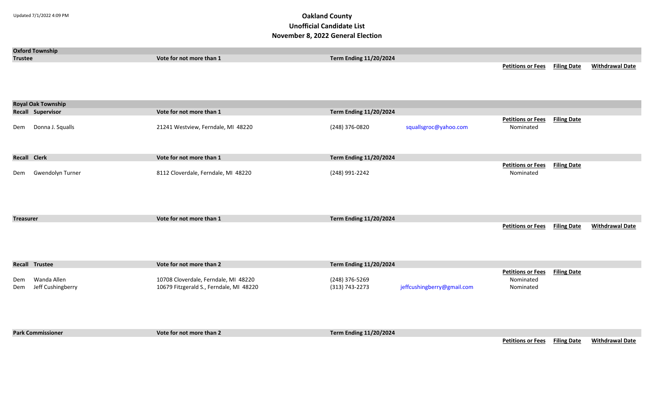| <b>Trustee</b>      | <b>Oxford Township</b>           | Vote for not more than 1                                                        | <b>Term Ending 11/20/2024</b>    |                            | <b>Petitions or Fees</b> Filing Date               |                    | <b>Withdrawal Date</b> |
|---------------------|----------------------------------|---------------------------------------------------------------------------------|----------------------------------|----------------------------|----------------------------------------------------|--------------------|------------------------|
|                     | <b>Royal Oak Township</b>        |                                                                                 |                                  |                            |                                                    |                    |                        |
|                     | Recall Supervisor                | Vote for not more than 1                                                        | <b>Term Ending 11/20/2024</b>    |                            |                                                    |                    |                        |
| Dem                 | Donna J. Squalls                 | 21241 Westview, Ferndale, MI 48220                                              | (248) 376-0820                   | squallsgroc@yahoo.com      | <b>Petitions or Fees</b><br>Nominated              | <b>Filing Date</b> |                        |
| <b>Recall Clerk</b> |                                  | Vote for not more than 1                                                        | <b>Term Ending 11/20/2024</b>    |                            |                                                    |                    |                        |
| Dem                 | Gwendolyn Turner                 | 8112 Cloverdale, Ferndale, MI 48220                                             | (248) 991-2242                   |                            | <b>Petitions or Fees Filing Date</b><br>Nominated  |                    |                        |
| <b>Treasurer</b>    |                                  | Vote for not more than 1                                                        | <b>Term Ending 11/20/2024</b>    |                            |                                                    |                    |                        |
|                     |                                  |                                                                                 |                                  |                            | <b>Petitions or Fees Filing Date</b>               |                    | <b>Withdrawal Date</b> |
|                     | <b>Recall Trustee</b>            | Vote for not more than 2                                                        | <b>Term Ending 11/20/2024</b>    |                            |                                                    |                    |                        |
| Dem<br>Dem          | Wanda Allen<br>Jeff Cushingberry | 10708 Cloverdale, Ferndale, MI 48220<br>10679 Fitzgerald S., Ferndale, MI 48220 | (248) 376-5269<br>(313) 743-2273 | jeffcushingberry@gmail.com | <b>Petitions or Fees</b><br>Nominated<br>Nominated | <b>Filing Date</b> |                        |
|                     | <b>Park Commissioner</b>         | Vote for not more than 2                                                        | <b>Term Ending 11/20/2024</b>    |                            | <b>Petitions or Fees Filing Date</b>               |                    | <b>Withdrawal Date</b> |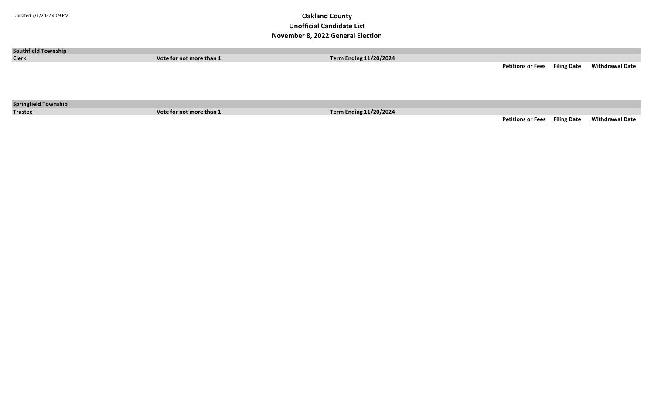| <b>Southfield Township</b>  |                          |                               |                                      |                        |
|-----------------------------|--------------------------|-------------------------------|--------------------------------------|------------------------|
| <b>Clerk</b>                | Vote for not more than 1 | <b>Term Ending 11/20/2024</b> |                                      |                        |
|                             |                          |                               | <b>Petitions or Fees</b> Filing Date | <b>Withdrawal Date</b> |
|                             |                          |                               |                                      |                        |
|                             |                          |                               |                                      |                        |
|                             |                          |                               |                                      |                        |
| <b>Springfield Township</b> |                          |                               |                                      |                        |
| <b>Trustee</b>              | Vote for not more than 1 | <b>Term Ending 11/20/2024</b> |                                      |                        |
|                             |                          |                               | <b>Petitions or Fees</b> Filing Date | <b>Withdrawal Date</b> |
|                             |                          |                               |                                      |                        |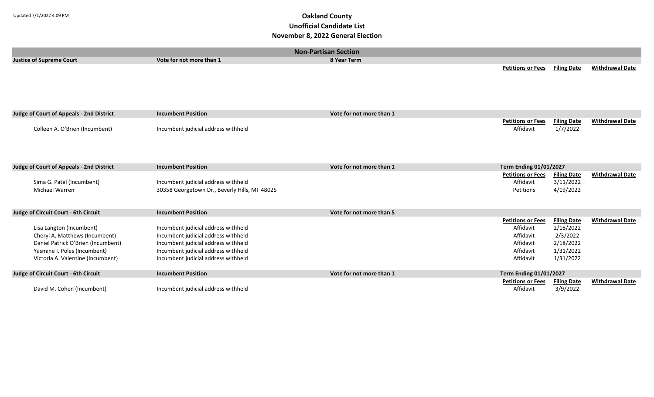|                                                                                                                                                                       | <b>Non-Partisan Section</b>                                                                                                                                                                     |                          |                                                                                           |                                                                                    |                        |  |
|-----------------------------------------------------------------------------------------------------------------------------------------------------------------------|-------------------------------------------------------------------------------------------------------------------------------------------------------------------------------------------------|--------------------------|-------------------------------------------------------------------------------------------|------------------------------------------------------------------------------------|------------------------|--|
| <b>Justice of Supreme Court</b>                                                                                                                                       | Vote for not more than 1                                                                                                                                                                        | 8 Year Term              |                                                                                           |                                                                                    |                        |  |
|                                                                                                                                                                       |                                                                                                                                                                                                 |                          | <b>Petitions or Fees</b>                                                                  | <b>Filing Date</b>                                                                 | <b>Withdrawal Date</b> |  |
| <b>Judge of Court of Appeals - 2nd District</b>                                                                                                                       | <b>Incumbent Position</b>                                                                                                                                                                       | Vote for not more than 1 |                                                                                           |                                                                                    |                        |  |
| Colleen A. O'Brien (Incumbent)                                                                                                                                        | Incumbent judicial address withheld                                                                                                                                                             |                          | <b>Petitions or Fees</b><br>Affidavit                                                     | <b>Filing Date</b><br>1/7/2022                                                     | <b>Withdrawal Date</b> |  |
| <b>Judge of Court of Appeals - 2nd District</b>                                                                                                                       | <b>Incumbent Position</b>                                                                                                                                                                       | Vote for not more than 1 | <b>Term Ending 01/01/2027</b>                                                             |                                                                                    |                        |  |
| Sima G. Patel (Incumbent)<br>Michael Warren                                                                                                                           | Incumbent judicial address withheld<br>30358 Georgetown Dr., Beverly Hills, MI 48025                                                                                                            |                          | <b>Petitions or Fees</b><br>Affidavit<br>Petitions                                        | <b>Filing Date</b><br>3/11/2022<br>4/19/2022                                       | <b>Withdrawal Date</b> |  |
| Judge of Circuit Court - 6th Circuit                                                                                                                                  | <b>Incumbent Position</b>                                                                                                                                                                       | Vote for not more than 5 |                                                                                           |                                                                                    |                        |  |
| Lisa Langton (Incumbent)<br>Cheryl A. Matthews (Incumbent)<br>Daniel Patrick O'Brien (Incumbent)<br>Yasmine I. Poles (Incumbent)<br>Victoria A. Valentine (Incumbent) | Incumbent judicial address withheld<br>Incumbent judicial address withheld<br>Incumbent judicial address withheld<br>Incumbent judicial address withheld<br>Incumbent judicial address withheld |                          | <b>Petitions or Fees</b><br>Affidavit<br>Affidavit<br>Affidavit<br>Affidavit<br>Affidavit | <b>Filing Date</b><br>2/18/2022<br>2/3/2022<br>2/18/2022<br>1/31/2022<br>1/31/2022 | <b>Withdrawal Date</b> |  |
| Judge of Circuit Court - 6th Circuit                                                                                                                                  | <b>Incumbent Position</b>                                                                                                                                                                       | Vote for not more than 1 | <b>Term Ending 01/01/2027</b>                                                             |                                                                                    |                        |  |
| David M. Cohen (Incumbent)                                                                                                                                            | Incumbent judicial address withheld                                                                                                                                                             |                          | <b>Petitions or Fees</b><br>Affidavit                                                     | <b>Filing Date</b><br>3/9/2022                                                     | <b>Withdrawal Date</b> |  |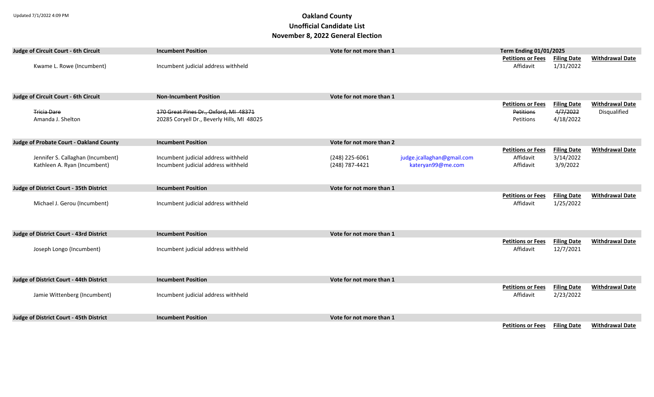| Judge of Circuit Court - 6th Circuit                              | <b>Incumbent Position</b>                                                           | Vote for not more than 1                                                            | <b>Term Ending 01/01/2025</b>                                                                            |                                        |
|-------------------------------------------------------------------|-------------------------------------------------------------------------------------|-------------------------------------------------------------------------------------|----------------------------------------------------------------------------------------------------------|----------------------------------------|
| Kwame L. Rowe (Incumbent)                                         | Incumbent judicial address withheld                                                 |                                                                                     | <b>Petitions or Fees</b><br><b>Filing Date</b><br>1/31/2022<br>Affidavit                                 | <b>Withdrawal Date</b>                 |
| Judge of Circuit Court - 6th Circuit                              | <b>Non-Incumbent Position</b>                                                       | Vote for not more than 1                                                            |                                                                                                          |                                        |
| <b>Tricia Dare</b><br>Amanda J. Shelton                           | 170 Great Pines Dr., Oxford, MI 48371<br>20285 Coryell Dr., Beverly Hills, MI 48025 |                                                                                     | <b>Petitions or Fees</b><br><b>Filing Date</b><br>4/7/2022<br><b>Petitions</b><br>4/18/2022<br>Petitions | <b>Withdrawal Date</b><br>Disqualified |
| <b>Judge of Probate Court - Oakland County</b>                    | <b>Incumbent Position</b>                                                           | Vote for not more than 2                                                            |                                                                                                          |                                        |
| Jennifer S. Callaghan (Incumbent)<br>Kathleen A. Ryan (Incumbent) | Incumbent judicial address withheld<br>Incumbent judicial address withheld          | (248) 225-6061<br>judge.jcallaghan@gmail.com<br>(248) 787-4421<br>kateryan99@me.com | <b>Petitions or Fees</b><br><b>Filing Date</b><br>Affidavit<br>3/14/2022<br>Affidavit<br>3/9/2022        | <b>Withdrawal Date</b>                 |
| Judge of District Court - 35th District                           | <b>Incumbent Position</b>                                                           | Vote for not more than 1                                                            |                                                                                                          |                                        |
| Michael J. Gerou (Incumbent)                                      | Incumbent judicial address withheld                                                 |                                                                                     | <b>Petitions or Fees</b><br><b>Filing Date</b><br>Affidavit<br>1/25/2022                                 | <b>Withdrawal Date</b>                 |
| Judge of District Court - 43rd District                           | <b>Incumbent Position</b>                                                           | Vote for not more than 1                                                            |                                                                                                          |                                        |
| Joseph Longo (Incumbent)                                          | Incumbent judicial address withheld                                                 |                                                                                     | <b>Filing Date</b><br><b>Petitions or Fees</b><br>12/7/2021<br>Affidavit                                 | <b>Withdrawal Date</b>                 |
| Judge of District Court - 44th District                           | <b>Incumbent Position</b>                                                           | Vote for not more than 1                                                            |                                                                                                          |                                        |
| Jamie Wittenberg (Incumbent)                                      | Incumbent judicial address withheld                                                 |                                                                                     | <b>Petitions or Fees</b><br><b>Filing Date</b><br>2/23/2022<br>Affidavit                                 | <b>Withdrawal Date</b>                 |
| Judge of District Court - 45th District                           | <b>Incumbent Position</b>                                                           | Vote for not more than 1                                                            |                                                                                                          |                                        |
|                                                                   |                                                                                     |                                                                                     | <b>Filing Date</b><br><b>Petitions or Fees</b>                                                           | <b>Withdrawal Date</b>                 |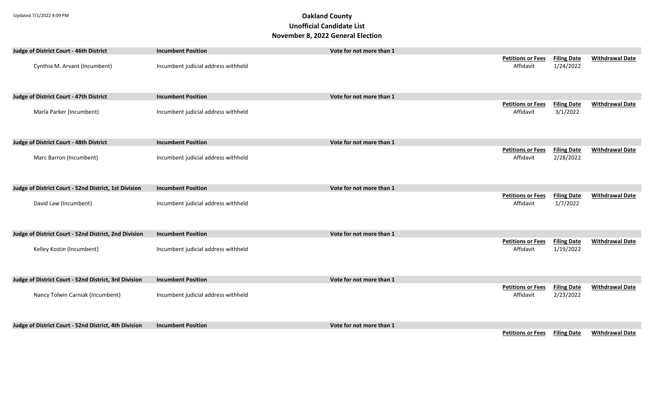| Judge of District Court - 46th District               | <b>Incumbent Position</b>           | Vote for not more than 1 |                                       |                                 |                        |
|-------------------------------------------------------|-------------------------------------|--------------------------|---------------------------------------|---------------------------------|------------------------|
| Cynthia M. Arvant (Incumbent)                         | Incumbent judicial address withheld |                          | <b>Petitions or Fees</b><br>Affidavit | <b>Filing Date</b><br>1/24/2022 | <b>Withdrawal Date</b> |
| Judge of District Court - 47th District               | <b>Incumbent Position</b>           | Vote for not more than 1 |                                       |                                 |                        |
| Marla Parker (Incumbent)                              | Incumbent judicial address withheld |                          | <b>Petitions or Fees</b><br>Affidavit | <b>Filing Date</b><br>3/1/2022  | <b>Withdrawal Date</b> |
| Judge of District Court - 48th District               | <b>Incumbent Position</b>           | Vote for not more than 1 |                                       |                                 |                        |
| Marc Barron (Incumbent)                               | Incumbent judicial address withheld |                          | <b>Petitions or Fees</b><br>Affidavit | <b>Filing Date</b><br>2/28/2022 | <b>Withdrawal Date</b> |
| Judge of District Court - 52nd District, 1st Division | <b>Incumbent Position</b>           | Vote for not more than 1 |                                       |                                 |                        |
| David Law (Incumbent)                                 | Incumbent judicial address withheld |                          | <b>Petitions or Fees</b><br>Affidavit | <b>Filing Date</b><br>1/7/2022  | <b>Withdrawal Date</b> |
| Judge of District Court - 52nd District, 2nd Division | <b>Incumbent Position</b>           | Vote for not more than 1 |                                       |                                 |                        |
| Kelley Kostin (Incumbent)                             | Incumbent judicial address withheld |                          | <b>Petitions or Fees</b><br>Affidavit | <b>Filing Date</b><br>1/19/2022 | <b>Withdrawal Date</b> |
| Judge of District Court - 52nd District, 3rd Division | <b>Incumbent Position</b>           | Vote for not more than 1 |                                       |                                 |                        |
| Nancy Tolwin Carniak (Incumbent)                      | Incumbent judicial address withheld |                          | <b>Petitions or Fees</b><br>Affidavit | <b>Filing Date</b><br>2/23/2022 | <b>Withdrawal Date</b> |
| Judge of District Court - 52nd District, 4th Division | <b>Incumbent Position</b>           | Vote for not more than 1 |                                       |                                 |                        |
|                                                       |                                     |                          | <b>Petitions or Fees</b>              | <b>Filing Date</b>              | <b>Withdrawal Date</b> |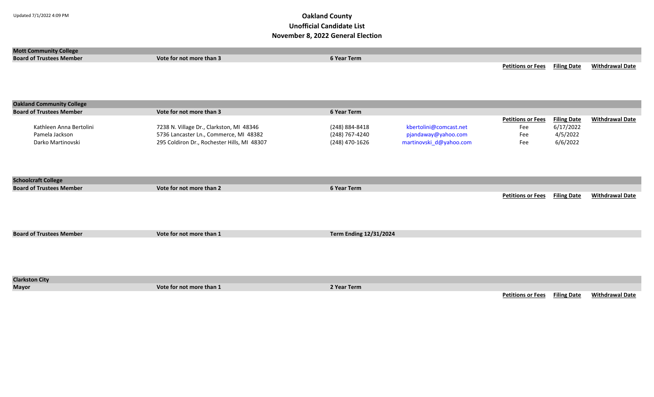| <b>Mott Community College</b>    |                                             |                               |                         |                          |                    |                        |
|----------------------------------|---------------------------------------------|-------------------------------|-------------------------|--------------------------|--------------------|------------------------|
| <b>Board of Trustees Member</b>  | Vote for not more than 3                    | 6 Year Term                   |                         |                          |                    |                        |
|                                  |                                             |                               |                         | <b>Petitions or Fees</b> | <b>Filing Date</b> | <b>Withdrawal Date</b> |
|                                  |                                             |                               |                         |                          |                    |                        |
|                                  |                                             |                               |                         |                          |                    |                        |
|                                  |                                             |                               |                         |                          |                    |                        |
|                                  |                                             |                               |                         |                          |                    |                        |
| <b>Oakland Community College</b> |                                             |                               |                         |                          |                    |                        |
| <b>Board of Trustees Member</b>  | Vote for not more than 3                    | 6 Year Term                   |                         |                          |                    |                        |
|                                  |                                             |                               |                         | <b>Petitions or Fees</b> | <b>Filing Date</b> | <b>Withdrawal Date</b> |
| Kathleen Anna Bertolini          | 7238 N. Village Dr., Clarkston, MI 48346    | (248) 884-8418                | kbertolini@comcast.net  | Fee                      | 6/17/2022          |                        |
| Pamela Jackson                   | 5736 Lancaster Ln., Commerce, MI 48382      | (248) 767-4240                | pjandaway@yahoo.com     | Fee                      | 4/5/2022           |                        |
| Darko Martinovski                | 295 Coldiron Dr., Rochester Hills, MI 48307 | (248) 470-1626                | martinovski_d@yahoo.com | Fee                      | 6/6/2022           |                        |
|                                  |                                             |                               |                         |                          |                    |                        |
|                                  |                                             |                               |                         |                          |                    |                        |
|                                  |                                             |                               |                         |                          |                    |                        |
|                                  |                                             |                               |                         |                          |                    |                        |
| <b>Schoolcraft College</b>       |                                             |                               |                         |                          |                    |                        |
| <b>Board of Trustees Member</b>  | Vote for not more than 2                    | 6 Year Term                   |                         |                          |                    |                        |
|                                  |                                             |                               |                         | <b>Petitions or Fees</b> | <b>Filing Date</b> | <b>Withdrawal Date</b> |
|                                  |                                             |                               |                         |                          |                    |                        |
|                                  |                                             |                               |                         |                          |                    |                        |
|                                  |                                             |                               |                         |                          |                    |                        |
|                                  |                                             |                               |                         |                          |                    |                        |
| <b>Board of Trustees Member</b>  | Vote for not more than 1                    | <b>Term Ending 12/31/2024</b> |                         |                          |                    |                        |
|                                  |                                             |                               |                         |                          |                    |                        |
|                                  |                                             |                               |                         |                          |                    |                        |
|                                  |                                             |                               |                         |                          |                    |                        |
|                                  |                                             |                               |                         |                          |                    |                        |
|                                  |                                             |                               |                         |                          |                    |                        |
| <b>Clarkston City</b>            |                                             |                               |                         |                          |                    |                        |
| <b>Mayor</b>                     | Vote for not more than 1                    | 2 Year Term                   |                         |                          |                    |                        |
|                                  |                                             |                               |                         | <b>Petitions or Fees</b> | <b>Filing Date</b> | <b>Withdrawal Date</b> |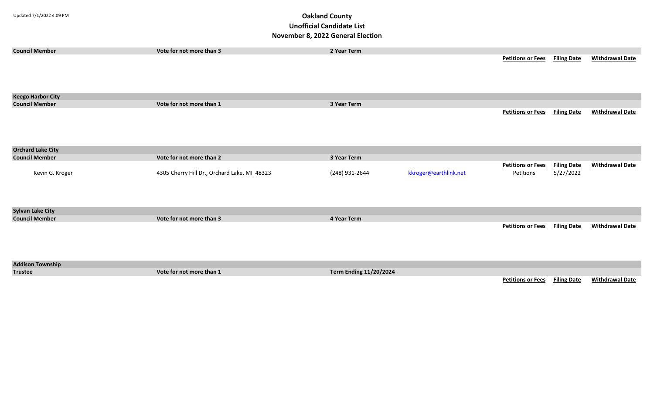| <b>Council Member</b>    | Vote for not more than 3                     | 2 Year Term                   |                       |                                       |                                 |                        |
|--------------------------|----------------------------------------------|-------------------------------|-----------------------|---------------------------------------|---------------------------------|------------------------|
|                          |                                              |                               |                       | <b>Petitions or Fees</b> Filing Date  |                                 | <b>Withdrawal Date</b> |
| <b>Keego Harbor City</b> |                                              |                               |                       |                                       |                                 |                        |
| <b>Council Member</b>    | Vote for not more than 1                     | 3 Year Term                   |                       |                                       |                                 |                        |
|                          |                                              |                               |                       | <b>Petitions or Fees</b>              | <b>Filing Date</b>              | <b>Withdrawal Date</b> |
| <b>Orchard Lake City</b> |                                              |                               |                       |                                       |                                 |                        |
| <b>Council Member</b>    | Vote for not more than 2                     | 3 Year Term                   |                       |                                       |                                 |                        |
| Kevin G. Kroger          | 4305 Cherry Hill Dr., Orchard Lake, MI 48323 | (248) 931-2644                | kkroger@earthlink.net | <b>Petitions or Fees</b><br>Petitions | <b>Filing Date</b><br>5/27/2022 | <b>Withdrawal Date</b> |
| <b>Sylvan Lake City</b>  |                                              |                               |                       |                                       |                                 |                        |
| <b>Council Member</b>    | Vote for not more than 3                     | 4 Year Term                   |                       |                                       |                                 |                        |
|                          |                                              |                               |                       | <b>Petitions or Fees</b>              | <b>Filing Date</b>              | <b>Withdrawal Date</b> |
| <b>Addison Township</b>  |                                              |                               |                       |                                       |                                 |                        |
| <b>Trustee</b>           | Vote for not more than 1                     | <b>Term Ending 11/20/2024</b> |                       |                                       |                                 |                        |
|                          |                                              |                               |                       | <b>Petitions or Fees</b>              | <b>Filing Date</b>              | <b>Withdrawal Date</b> |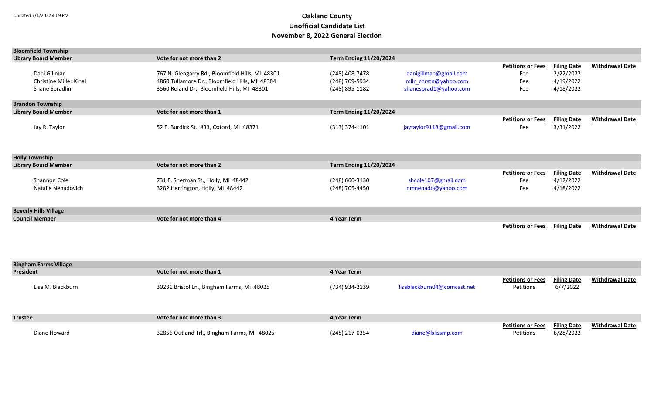| <b>Bloomfield Township</b>                                      |                                                                                                                                                   |                                                    |                                                                         |                                               |                                                           |                        |  |  |
|-----------------------------------------------------------------|---------------------------------------------------------------------------------------------------------------------------------------------------|----------------------------------------------------|-------------------------------------------------------------------------|-----------------------------------------------|-----------------------------------------------------------|------------------------|--|--|
| <b>Library Board Member</b>                                     | Vote for not more than 2                                                                                                                          | <b>Term Ending 11/20/2024</b>                      |                                                                         |                                               |                                                           |                        |  |  |
| Dani Gillman<br><b>Christine Miller Kinal</b><br>Shane Spradlin | 767 N. Glengarry Rd., Bloomfield Hills, MI 48301<br>4860 Tullamore Dr., Bloomfield Hills, MI 48304<br>3560 Roland Dr., Bloomfield Hills, MI 48301 | (248) 408-7478<br>(248) 709-5934<br>(248) 895-1182 | danigillman@gmail.com<br>mllr chrstn@yahoo.com<br>shanesprad1@yahoo.com | <b>Petitions or Fees</b><br>Fee<br>Fee<br>Fee | <b>Filing Date</b><br>2/22/2022<br>4/19/2022<br>4/18/2022 | <b>Withdrawal Date</b> |  |  |
| <b>Brandon Township</b>                                         |                                                                                                                                                   |                                                    |                                                                         |                                               |                                                           |                        |  |  |
| <b>Library Board Member</b>                                     | Vote for not more than 1                                                                                                                          | <b>Term Ending 11/20/2024</b>                      |                                                                         |                                               |                                                           |                        |  |  |
| Jay R. Taylor                                                   | 52 E. Burdick St., #33, Oxford, MI 48371                                                                                                          | $(313)$ 374-1101                                   | jaytaylor9118@gmail.com                                                 | <b>Petitions or Fees</b><br>Fee               | <b>Filing Date</b><br>3/31/2022                           | <b>Withdrawal Date</b> |  |  |
| <b>Holly Township</b>                                           |                                                                                                                                                   |                                                    |                                                                         |                                               |                                                           |                        |  |  |
| <b>Library Board Member</b>                                     | Vote for not more than 2                                                                                                                          | <b>Term Ending 11/20/2024</b>                      |                                                                         |                                               |                                                           |                        |  |  |
| Shannon Cole<br>Natalie Nenadovich                              | 731 E. Sherman St., Holly, MI 48442<br>3282 Herrington, Holly, MI 48442                                                                           | (248) 660-3130<br>(248) 705-4450                   | shcole107@gmail.com<br>nmnenado@yahoo.com                               | <b>Petitions or Fees</b><br>Fee<br>Fee        | <b>Filing Date</b><br>4/12/2022<br>4/18/2022              | <b>Withdrawal Date</b> |  |  |
| <b>Beverly Hills Village</b>                                    |                                                                                                                                                   |                                                    |                                                                         |                                               |                                                           |                        |  |  |
| <b>Council Member</b>                                           | Vote for not more than 4                                                                                                                          | 4 Year Term                                        |                                                                         |                                               |                                                           |                        |  |  |
|                                                                 |                                                                                                                                                   |                                                    |                                                                         | <b>Petitions or Fees</b>                      | <b>Filing Date</b>                                        | <b>Withdrawal Date</b> |  |  |
| <b>Bingham Farms Village</b>                                    |                                                                                                                                                   |                                                    |                                                                         |                                               |                                                           |                        |  |  |
| <b>President</b>                                                | Vote for not more than 1                                                                                                                          | 4 Year Term                                        |                                                                         |                                               |                                                           |                        |  |  |
| Lisa M. Blackburn                                               | 30231 Bristol Ln., Bingham Farms, MI 48025                                                                                                        | (734) 934-2139                                     | lisablackburn04@comcast.net                                             | <b>Petitions or Fees</b><br>Petitions         | <b>Filing Date</b><br>6/7/2022                            | <b>Withdrawal Date</b> |  |  |

| <b>Trustee</b> | Vote for not more than 3                    | 4 Year Term    |                   |                                      |           |                        |
|----------------|---------------------------------------------|----------------|-------------------|--------------------------------------|-----------|------------------------|
|                |                                             |                |                   | <b>Petitions or Fees</b> Filing Date |           | <b>Withdrawal Date</b> |
| Diane Howard   | 32856 Outland Trl., Bingham Farms, MI 48025 | (248) 217-0354 | diane@blissmp.com | Petitions                            | 6/28/2022 |                        |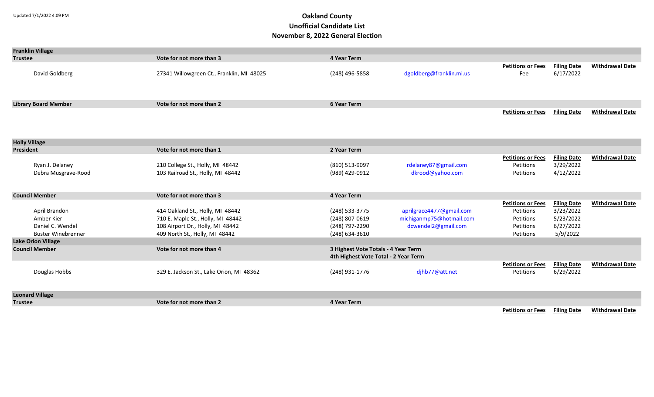| <b>Franklin Village</b>     |                                           |                                      |                          |                          |                    |                        |
|-----------------------------|-------------------------------------------|--------------------------------------|--------------------------|--------------------------|--------------------|------------------------|
| <b>Trustee</b>              | Vote for not more than 3                  | 4 Year Term                          |                          |                          |                    |                        |
|                             |                                           |                                      |                          | <b>Petitions or Fees</b> | <b>Filing Date</b> | <b>Withdrawal Date</b> |
| David Goldberg              | 27341 Willowgreen Ct., Franklin, MI 48025 | (248) 496-5858                       | dgoldberg@franklin.mi.us | Fee                      | 6/17/2022          |                        |
|                             |                                           |                                      |                          |                          |                    |                        |
|                             |                                           |                                      |                          |                          |                    |                        |
|                             |                                           |                                      |                          |                          |                    |                        |
| <b>Library Board Member</b> | Vote for not more than 2                  | <b>6 Year Term</b>                   |                          |                          |                    |                        |
|                             |                                           |                                      |                          | <b>Petitions or Fees</b> | <b>Filing Date</b> | <b>Withdrawal Date</b> |
|                             |                                           |                                      |                          |                          |                    |                        |
|                             |                                           |                                      |                          |                          |                    |                        |
| <b>Holly Village</b>        |                                           |                                      |                          |                          |                    |                        |
| <b>President</b>            | Vote for not more than 1                  | 2 Year Term                          |                          |                          |                    |                        |
|                             |                                           |                                      |                          | <b>Petitions or Fees</b> | <b>Filing Date</b> | <b>Withdrawal Date</b> |
| Ryan J. Delaney             | 210 College St., Holly, MI 48442          | (810) 513-9097                       | rdelaney87@gmail.com     | Petitions                | 3/29/2022          |                        |
| Debra Musgrave-Rood         | 103 Railroad St., Holly, MI 48442         | (989) 429-0912                       | dkrood@yahoo.com         | Petitions                | 4/12/2022          |                        |
|                             |                                           |                                      |                          |                          |                    |                        |
|                             |                                           |                                      |                          |                          |                    |                        |
| <b>Council Member</b>       | Vote for not more than 3                  | <b>4 Year Term</b>                   |                          |                          |                    |                        |
|                             |                                           |                                      |                          | <b>Petitions or Fees</b> | <b>Filing Date</b> | <b>Withdrawal Date</b> |
| April Brandon               | 414 Oakland St., Holly, MI 48442          | (248) 533-3775                       | aprilgrace4477@gmail.com | Petitions                | 3/23/2022          |                        |
| Amber Kier                  | 710 E. Maple St., Holly, MI 48442         | (248) 807-0619                       | michiganmp75@hotmail.com | Petitions                | 5/23/2022          |                        |
| Daniel C. Wendel            | 108 Airport Dr., Holly, MI 48442          | (248) 797-2290                       | dcwendel2@gmail.com      | Petitions                | 6/27/2022          |                        |
| <b>Buster Winebrenner</b>   | 409 North St., Holly, MI 48442            | $(248)$ 634-3610                     |                          | Petitions                | 5/9/2022           |                        |
| <b>Lake Orion Village</b>   |                                           |                                      |                          |                          |                    |                        |
| <b>Council Member</b>       | Vote for not more than 4                  | 3 Highest Vote Totals - 4 Year Term  |                          |                          |                    |                        |
|                             |                                           | 4th Highest Vote Total - 2 Year Term |                          |                          |                    |                        |
|                             |                                           |                                      |                          | <b>Petitions or Fees</b> | <b>Filing Date</b> | <b>Withdrawal Date</b> |
| Douglas Hobbs               | 329 E. Jackson St., Lake Orion, MI 48362  | (248) 931-1776                       | djhb77@att.net           | Petitions                | 6/29/2022          |                        |
|                             |                                           |                                      |                          |                          |                    |                        |
| <b>Leonard Village</b>      |                                           |                                      |                          |                          |                    |                        |
| <b>Trustee</b>              | Vote for not more than 2                  | <b>4 Year Term</b>                   |                          |                          |                    |                        |
|                             |                                           |                                      |                          |                          |                    |                        |

**Petitions or Fees Filing Date Withdrawal Date**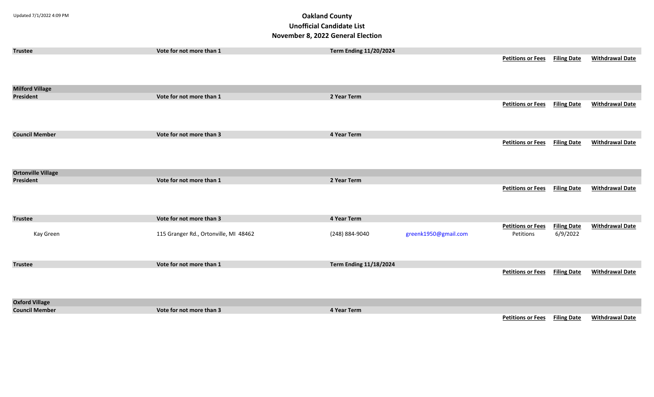| <b>Trustee</b>            | Vote for not more than 1              | <b>Term Ending 11/20/2024</b> |                      |                                      |                    |                        |
|---------------------------|---------------------------------------|-------------------------------|----------------------|--------------------------------------|--------------------|------------------------|
|                           |                                       |                               |                      | <b>Petitions or Fees</b>             | <b>Filing Date</b> | <b>Withdrawal Date</b> |
|                           |                                       |                               |                      |                                      |                    |                        |
|                           |                                       |                               |                      |                                      |                    |                        |
|                           |                                       |                               |                      |                                      |                    |                        |
| <b>Milford Village</b>    |                                       |                               |                      |                                      |                    |                        |
| <b>President</b>          | Vote for not more than 1              | 2 Year Term                   |                      |                                      |                    |                        |
|                           |                                       |                               |                      | <b>Petitions or Fees</b>             | <b>Filing Date</b> | <b>Withdrawal Date</b> |
|                           |                                       |                               |                      |                                      |                    |                        |
|                           |                                       |                               |                      |                                      |                    |                        |
|                           |                                       |                               |                      |                                      |                    |                        |
| <b>Council Member</b>     | Vote for not more than 3              | 4 Year Term                   |                      |                                      |                    |                        |
|                           |                                       |                               |                      | <b>Petitions or Fees</b>             | <b>Filing Date</b> | <b>Withdrawal Date</b> |
|                           |                                       |                               |                      |                                      |                    |                        |
|                           |                                       |                               |                      |                                      |                    |                        |
|                           |                                       |                               |                      |                                      |                    |                        |
| <b>Ortonville Village</b> | Vote for not more than 1              | 2 Year Term                   |                      |                                      |                    |                        |
| President                 |                                       |                               |                      |                                      |                    |                        |
|                           |                                       |                               |                      | <b>Petitions or Fees</b>             | <b>Filing Date</b> | <b>Withdrawal Date</b> |
|                           |                                       |                               |                      |                                      |                    |                        |
|                           |                                       |                               |                      |                                      |                    |                        |
| <b>Trustee</b>            | Vote for not more than 3              | 4 Year Term                   |                      |                                      |                    |                        |
|                           |                                       |                               |                      | <b>Petitions or Fees</b>             | <b>Filing Date</b> | <b>Withdrawal Date</b> |
| Kay Green                 | 115 Granger Rd., Ortonville, MI 48462 | (248) 884-9040                | greenk1950@gmail.com | Petitions                            | 6/9/2022           |                        |
|                           |                                       |                               |                      |                                      |                    |                        |
|                           |                                       |                               |                      |                                      |                    |                        |
|                           |                                       |                               |                      |                                      |                    |                        |
| <b>Trustee</b>            | Vote for not more than 1              | <b>Term Ending 11/18/2024</b> |                      |                                      |                    |                        |
|                           |                                       |                               |                      | <b>Petitions or Fees</b> Filing Date |                    | <b>Withdrawal Date</b> |
|                           |                                       |                               |                      |                                      |                    |                        |
|                           |                                       |                               |                      |                                      |                    |                        |
|                           |                                       |                               |                      |                                      |                    |                        |
| <b>Oxford Village</b>     |                                       |                               |                      |                                      |                    |                        |
| <b>Council Member</b>     | Vote for not more than 3              | 4 Year Term                   |                      |                                      |                    |                        |
|                           |                                       |                               |                      | <b>Petitions or Fees</b>             | <b>Filing Date</b> | <b>Withdrawal Date</b> |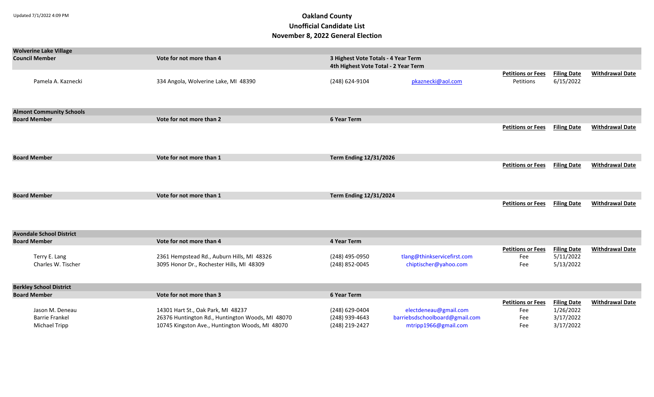| <b>Wolverine Lake Village</b>   |                                                  |                                      |                                |                          |                                 |                        |
|---------------------------------|--------------------------------------------------|--------------------------------------|--------------------------------|--------------------------|---------------------------------|------------------------|
| <b>Council Member</b>           | Vote for not more than 4                         | 3 Highest Vote Totals - 4 Year Term  |                                |                          |                                 |                        |
|                                 |                                                  | 4th Highest Vote Total - 2 Year Term |                                |                          |                                 |                        |
|                                 |                                                  |                                      |                                | <b>Petitions or Fees</b> | <b>Filing Date</b>              | <b>Withdrawal Date</b> |
| Pamela A. Kaznecki              | 334 Angola, Wolverine Lake, MI 48390             | (248) 624-9104                       | pkaznecki@aol.com              | Petitions                | 6/15/2022                       |                        |
|                                 |                                                  |                                      |                                |                          |                                 |                        |
|                                 |                                                  |                                      |                                |                          |                                 |                        |
| <b>Almont Community Schools</b> |                                                  |                                      |                                |                          |                                 |                        |
| <b>Board Member</b>             | Vote for not more than 2                         | <b>6 Year Term</b>                   |                                |                          |                                 |                        |
|                                 |                                                  |                                      |                                | <b>Petitions or Fees</b> | <b>Filing Date</b>              | <b>Withdrawal Date</b> |
|                                 |                                                  |                                      |                                |                          |                                 |                        |
|                                 |                                                  |                                      |                                |                          |                                 |                        |
| <b>Board Member</b>             | Vote for not more than 1                         | <b>Term Ending 12/31/2026</b>        |                                |                          |                                 |                        |
|                                 |                                                  |                                      |                                | <b>Petitions or Fees</b> | <b>Filing Date</b>              | <b>Withdrawal Date</b> |
|                                 |                                                  |                                      |                                |                          |                                 |                        |
|                                 |                                                  |                                      |                                |                          |                                 |                        |
|                                 |                                                  |                                      |                                |                          |                                 |                        |
| <b>Board Member</b>             | Vote for not more than 1                         | <b>Term Ending 12/31/2024</b>        |                                |                          |                                 |                        |
|                                 |                                                  |                                      |                                | <b>Petitions or Fees</b> | <b>Filing Date</b>              | <b>Withdrawal Date</b> |
|                                 |                                                  |                                      |                                |                          |                                 |                        |
|                                 |                                                  |                                      |                                |                          |                                 |                        |
| <b>Avondale School District</b> |                                                  |                                      |                                |                          |                                 |                        |
| <b>Board Member</b>             | Vote for not more than 4                         | 4 Year Term                          |                                |                          |                                 |                        |
|                                 |                                                  |                                      |                                | <b>Petitions or Fees</b> | <b>Filing Date</b>              | <b>Withdrawal Date</b> |
| Terry E. Lang                   | 2361 Hempstead Rd., Auburn Hills, MI 48326       | (248) 495-0950                       | tlang@thinkservicefirst.com    | Fee                      | 5/11/2022                       |                        |
| Charles W. Tischer              | 3095 Honor Dr., Rochester Hills, MI 48309        | (248) 852-0045                       | chiptischer@yahoo.com          | Fee                      | 5/13/2022                       |                        |
|                                 |                                                  |                                      |                                |                          |                                 |                        |
|                                 |                                                  |                                      |                                |                          |                                 |                        |
| <b>Berkley School District</b>  |                                                  |                                      |                                |                          |                                 |                        |
| <b>Board Member</b>             | Vote for not more than 3                         | 6 Year Term                          |                                | <b>Petitions or Fees</b> |                                 | <b>Withdrawal Date</b> |
| Jason M. Deneau                 | 14301 Hart St., Oak Park, MI 48237               | (248) 629-0404                       | electdeneau@gmail.com          | Fee                      | <b>Filing Date</b><br>1/26/2022 |                        |
| <b>Barrie Frankel</b>           | 26376 Huntington Rd., Huntington Woods, MI 48070 | (248) 939-4643                       | barriebsdschoolboard@gmail.com | Fee                      | 3/17/2022                       |                        |

Barrie Frankel 26376 Huntington Rd., Huntington Woods, MI 48070 (248) 939-4643 [barriebsdschoolboard@gmail.com](mailto:barriebsdschoolboard@gmail.com) Fee 3/17/2022

10745 Kingston Ave., Huntington Woods, MI 48070 (248) 219-2427 [mtripp1966@gmail.com](mailto:mtripp1966@gmail.com) Fee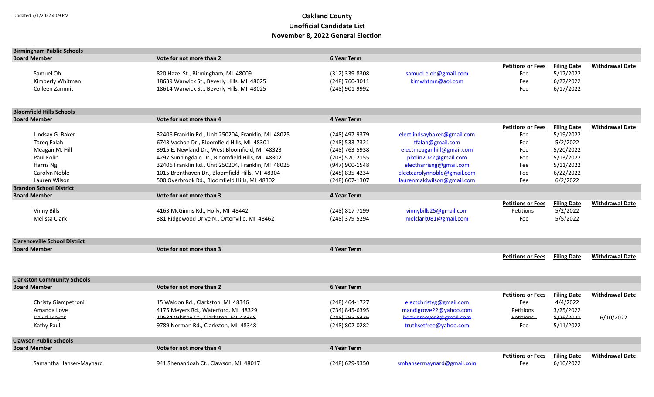| <b>Birmingham Public Schools</b>     |                                                     |                    |                             |                          |                    |                        |
|--------------------------------------|-----------------------------------------------------|--------------------|-----------------------------|--------------------------|--------------------|------------------------|
| <b>Board Member</b>                  | Vote for not more than 2                            | <b>6 Year Term</b> |                             |                          |                    |                        |
|                                      |                                                     |                    |                             | <b>Petitions or Fees</b> | <b>Filing Date</b> | <b>Withdrawal Date</b> |
| Samuel Oh                            | 820 Hazel St., Birmingham, MI 48009                 | (312) 339-8308     | samuel.e.oh@gmail.com       | Fee                      | 5/17/2022          |                        |
| Kimberly Whitman                     | 18639 Warwick St., Beverly Hills, MI 48025          | (248) 760-3011     | kimwhtmn@aol.com            | Fee                      | 6/27/2022          |                        |
| Colleen Zammit                       | 18614 Warwick St., Beverly Hills, MI 48025          | (248) 901-9992     |                             | Fee                      | 6/17/2022          |                        |
|                                      |                                                     |                    |                             |                          |                    |                        |
| <b>Bloomfield Hills Schools</b>      |                                                     |                    |                             |                          |                    |                        |
| <b>Board Member</b>                  | Vote for not more than 4                            | <b>4 Year Term</b> |                             |                          |                    |                        |
|                                      |                                                     |                    |                             | <b>Petitions or Fees</b> | <b>Filing Date</b> | <b>Withdrawal Date</b> |
| Lindsay G. Baker                     | 32406 Franklin Rd., Unit 250204, Franklin, MI 48025 | (248) 497-9379     | electlindsaybaker@gmail.com | Fee                      | 5/19/2022          |                        |
| <b>Tareg Falah</b>                   | 6743 Vachon Dr., Bloomfield Hills, MI 48301         | (248) 533-7321     | tfalah@gmail.com            | Fee                      | 5/2/2022           |                        |
| Meagan M. Hill                       | 3915 E. Newland Dr., West Bloomfield, MI 48323      | (248) 763-5938     | electmeaganhill@gmail.com   | Fee                      | 5/20/2022          |                        |
| Paul Kolin                           | 4297 Sunningdale Dr., Bloomfield Hills, MI 48302    | (203) 570-2155     | pkolin2022@gmail.com        | Fee                      | 5/13/2022          |                        |
| Harris Ng                            | 32406 Franklin Rd., Unit 250204, Franklin, MI 48025 | (947) 900-1548     | electharrisng@gmail.com     | Fee                      | 5/11/2022          |                        |
| Carolyn Noble                        | 1015 Brenthaven Dr., Bloomfield Hills, MI 48304     | (248) 835-4234     | electcarolynnoble@gmail.com | Fee                      | 6/22/2022          |                        |
| Lauren Wilson                        | 500 Overbrook Rd., Bloomfield Hills, MI 48302       | (248) 607-1307     | laurenmakiwilson@gmail.com  | Fee                      | 6/2/2022           |                        |
| <b>Brandon School District</b>       |                                                     |                    |                             |                          |                    |                        |
| <b>Board Member</b>                  | Vote for not more than 3                            | <b>4 Year Term</b> |                             |                          |                    |                        |
|                                      |                                                     |                    |                             | <b>Petitions or Fees</b> | <b>Filing Date</b> | <b>Withdrawal Date</b> |
| <b>Vinny Bills</b>                   | 4163 McGinnis Rd., Holly, MI 48442                  | (248) 817-7199     | vinnybills25@gmail.com      | Petitions                | 5/2/2022           |                        |
| Melissa Clark                        | 381 Ridgewood Drive N., Ortonville, MI 48462        | (248) 379-5294     | melclark081@gmail.com       | Fee                      | 5/5/2022           |                        |
|                                      |                                                     |                    |                             |                          |                    |                        |
| <b>Clarenceville School District</b> |                                                     |                    |                             |                          |                    |                        |
| <b>Board Member</b>                  | Vote for not more than 3                            | <b>4 Year Term</b> |                             |                          |                    |                        |
|                                      |                                                     |                    |                             | <b>Petitions or Fees</b> | <b>Filing Date</b> | <b>Withdrawal Date</b> |
|                                      |                                                     |                    |                             |                          |                    |                        |
| <b>Clarkston Community Schools</b>   |                                                     |                    |                             |                          |                    |                        |
| <b>Board Member</b>                  | Vote for not more than 2                            | <b>6 Year Term</b> |                             |                          |                    |                        |
|                                      |                                                     |                    |                             | <b>Petitions or Fees</b> | <b>Filing Date</b> | <b>Withdrawal Date</b> |
| Christy Giampetroni                  | 15 Waldon Rd., Clarkston, MI 48346                  | $(248)$ 464-1727   | electchristyg@gmail.com     | Fee                      | 4/4/2022           |                        |
| Amanda Love                          | 4175 Meyers Rd., Waterford, MI 48329                | (734) 845-6395     | mandigrove22@yahoo.com      | Petitions                | 3/25/2022          |                        |
| David Meyer                          | 10584 Whitby Ct., Clarkston, MI 48348               | (248) 795-5436     | hdavidmeyer3@gmail.com      | Petitions                | 8/26/2021          | 6/10/2022              |
| Kathy Paul                           | 9789 Norman Rd., Clarkston, MI 48348                | (248) 802-0282     | truthsetfree@yahoo.com      | Fee                      | 5/11/2022          |                        |
| <b>Clawson Public Schools</b>        |                                                     |                    |                             |                          |                    |                        |
| <b>Board Member</b>                  | Vote for not more than 4                            | <b>4 Year Term</b> |                             |                          |                    |                        |
|                                      |                                                     |                    |                             | <b>Petitions or Fees</b> | <b>Filing Date</b> | <b>Withdrawal Date</b> |
| Samantha Hanser-Maynard              | 941 Shenandoah Ct., Clawson, MI 48017               | (248) 629-9350     | smhansermaynard@gmail.com   | Fee                      | 6/10/2022          |                        |
|                                      |                                                     |                    |                             |                          |                    |                        |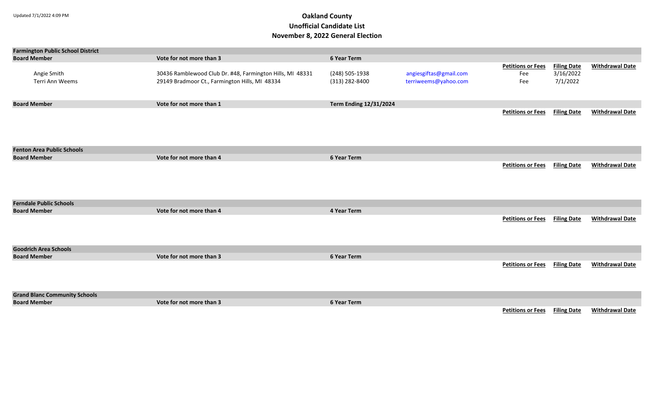| <b>Farmington Public School District</b> |                                                           |                               |                        |                          |                    |                        |
|------------------------------------------|-----------------------------------------------------------|-------------------------------|------------------------|--------------------------|--------------------|------------------------|
| <b>Board Member</b>                      | Vote for not more than 3                                  | 6 Year Term                   |                        |                          |                    |                        |
|                                          |                                                           |                               |                        | <b>Petitions or Fees</b> | <b>Filing Date</b> | <b>Withdrawal Date</b> |
| Angie Smith                              | 30436 Ramblewood Club Dr. #48, Farmington Hills, MI 48331 | (248) 505-1938                | angiesgiftas@gmail.com | Fee                      | 3/16/2022          |                        |
| Terri Ann Weems                          | 29149 Bradmoor Ct., Farmington Hills, MI 48334            | (313) 282-8400                | terriweems@yahoo.com   | Fee                      | 7/1/2022           |                        |
|                                          |                                                           |                               |                        |                          |                    |                        |
|                                          |                                                           |                               |                        |                          |                    |                        |
| <b>Board Member</b>                      | Vote for not more than 1                                  | <b>Term Ending 12/31/2024</b> |                        |                          |                    |                        |
|                                          |                                                           |                               |                        | <b>Petitions or Fees</b> | <b>Filing Date</b> | <b>Withdrawal Date</b> |
|                                          |                                                           |                               |                        |                          |                    |                        |
|                                          |                                                           |                               |                        |                          |                    |                        |
|                                          |                                                           |                               |                        |                          |                    |                        |
|                                          |                                                           |                               |                        |                          |                    |                        |
|                                          |                                                           |                               |                        |                          |                    |                        |
| <b>Fenton Area Public Schools</b>        |                                                           |                               |                        |                          |                    |                        |
| <b>Board Member</b>                      | Vote for not more than 4                                  | 6 Year Term                   |                        |                          |                    |                        |
|                                          |                                                           |                               |                        | <b>Petitions or Fees</b> | <b>Filing Date</b> | <b>Withdrawal Date</b> |
|                                          |                                                           |                               |                        |                          |                    |                        |
|                                          |                                                           |                               |                        |                          |                    |                        |
|                                          |                                                           |                               |                        |                          |                    |                        |
|                                          |                                                           |                               |                        |                          |                    |                        |
| <b>Ferndale Public Schools</b>           |                                                           |                               |                        |                          |                    |                        |
| <b>Board Member</b>                      | Vote for not more than 4                                  | 4 Year Term                   |                        |                          |                    |                        |
|                                          |                                                           |                               |                        |                          |                    | <b>Withdrawal Date</b> |
|                                          |                                                           |                               |                        | <b>Petitions or Fees</b> | <b>Filing Date</b> |                        |
|                                          |                                                           |                               |                        |                          |                    |                        |
|                                          |                                                           |                               |                        |                          |                    |                        |
|                                          |                                                           |                               |                        |                          |                    |                        |
| <b>Goodrich Area Schools</b>             |                                                           |                               |                        |                          |                    |                        |
| <b>Board Member</b>                      | Vote for not more than 3                                  | 6 Year Term                   |                        |                          |                    |                        |
|                                          |                                                           |                               |                        | <b>Petitions or Fees</b> | <b>Filing Date</b> | <b>Withdrawal Date</b> |
|                                          |                                                           |                               |                        |                          |                    |                        |
|                                          |                                                           |                               |                        |                          |                    |                        |
|                                          |                                                           |                               |                        |                          |                    |                        |
| <b>Grand Blanc Community Schools</b>     |                                                           |                               |                        |                          |                    |                        |
| <b>Board Member</b>                      | Vote for not more than 3                                  | 6 Year Term                   |                        |                          |                    |                        |
|                                          |                                                           |                               |                        | <b>Petitions or Fees</b> | <b>Filing Date</b> | <b>Withdrawal Date</b> |
|                                          |                                                           |                               |                        |                          |                    |                        |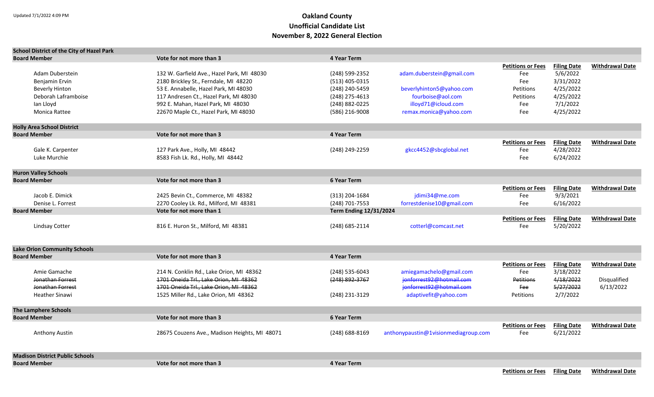| <b>School District of the City of Hazel Park</b> |                                                                                    |                               |                                                     |                          |                        |                        |
|--------------------------------------------------|------------------------------------------------------------------------------------|-------------------------------|-----------------------------------------------------|--------------------------|------------------------|------------------------|
| <b>Board Member</b>                              | Vote for not more than 3                                                           | <b>4 Year Term</b>            |                                                     |                          |                        |                        |
|                                                  |                                                                                    |                               |                                                     | <b>Petitions or Fees</b> | <b>Filing Date</b>     | <b>Withdrawal Date</b> |
| Adam Duberstein                                  | 132 W. Garfield Ave., Hazel Park, MI 48030                                         | (248) 599-2352                | adam.duberstein@gmail.com                           | Fee                      | 5/6/2022               |                        |
| Benjamin Ervin                                   | 2180 Brickley St., Ferndale, MI 48220                                              | (513) 405-0315                |                                                     | Fee                      | 3/31/2022              |                        |
| <b>Beverly Hinton</b>                            | 53 E. Annabelle, Hazel Park, MI 48030                                              | (248) 240-5459                | beverlyhinton5@yahoo.com                            | Petitions                | 4/25/2022              |                        |
| Deborah Laframboise                              | 117 Andresen Ct., Hazel Park, MI 48030                                             | (248) 275-4613                | fourboise@aol.com                                   | Petitions                | 4/25/2022              |                        |
| lan Lloyd                                        | 992 E. Mahan, Hazel Park, MI 48030                                                 | (248) 882-0225                | illoyd71@icloud.com                                 | Fee                      | 7/1/2022               |                        |
| Monica Rattee                                    | 22670 Maple Ct., Hazel Park, MI 48030                                              | (586) 216-9008                | remax.monica@yahoo.com                              | Fee                      | 4/25/2022              |                        |
| <b>Holly Area School District</b>                |                                                                                    |                               |                                                     |                          |                        |                        |
| <b>Board Member</b>                              | Vote for not more than 3                                                           | 4 Year Term                   |                                                     |                          |                        |                        |
|                                                  |                                                                                    |                               |                                                     | <b>Petitions or Fees</b> | <b>Filing Date</b>     | <b>Withdrawal Date</b> |
| Gale K. Carpenter                                | 127 Park Ave., Holly, MI 48442                                                     | (248) 249-2259                | gkcc4452@sbcglobal.net                              | Fee                      | 4/28/2022              |                        |
| Luke Murchie                                     | 8583 Fish Lk. Rd., Holly, MI 48442                                                 |                               |                                                     | Fee                      | 6/24/2022              |                        |
|                                                  |                                                                                    |                               |                                                     |                          |                        |                        |
| <b>Huron Valley Schools</b>                      |                                                                                    |                               |                                                     |                          |                        |                        |
| <b>Board Member</b>                              | Vote for not more than 3                                                           | <b>6 Year Term</b>            |                                                     |                          |                        |                        |
|                                                  |                                                                                    |                               |                                                     | <b>Petitions or Fees</b> | <b>Filing Date</b>     | <b>Withdrawal Date</b> |
| Jacob E. Dimick                                  | 2425 Bevin Ct., Commerce, MI 48382                                                 | (313) 204-1684                | jdimi34@me.com                                      | Fee                      | 9/3/2021               |                        |
| Denise L. Forrest                                | 2270 Cooley Lk. Rd., Milford, MI 48381                                             | (248) 701-7553                | forrestdenise10@gmail.com                           | Fee                      | 6/16/2022              |                        |
| <b>Board Member</b>                              | Vote for not more than 1                                                           | <b>Term Ending 12/31/2024</b> |                                                     |                          |                        |                        |
|                                                  |                                                                                    |                               |                                                     | <b>Petitions or Fees</b> | <b>Filing Date</b>     | <b>Withdrawal Date</b> |
| <b>Lindsay Cotter</b>                            | 816 E. Huron St., Milford, MI 48381                                                | (248) 685-2114                | cotterl@comcast.net                                 | Fee                      | 5/20/2022              |                        |
| <b>Lake Orion Community Schools</b>              |                                                                                    |                               |                                                     |                          |                        |                        |
| <b>Board Member</b>                              | Vote for not more than 3                                                           | <b>4 Year Term</b>            |                                                     |                          |                        |                        |
|                                                  |                                                                                    |                               |                                                     |                          |                        |                        |
|                                                  |                                                                                    |                               |                                                     | <b>Petitions or Fees</b> | <b>Filing Date</b>     | <b>Withdrawal Date</b> |
| Amie Gamache<br>Jonathan Forrest                 | 214 N. Conklin Rd., Lake Orion, MI 48362<br>1701 Oneida Trl., Lake Orion, MI 48362 | (248) 535-6043                | amiegamachelo@gmail.com<br>jonforrest92@hotmail.com | Fee                      | 3/18/2022<br>4/18/2022 |                        |
|                                                  |                                                                                    | (248) 892-3767                | jonforrest92@hotmail.com                            | <b>Petitions</b>         |                        | Disqualified           |
| Jonathan Forrest                                 | 1701 Oneida Trl., Lake Orion, MI 48362                                             |                               |                                                     | Fee                      | 5/27/2022              | 6/13/2022              |
| <b>Heather Sinawi</b>                            | 1525 Miller Rd., Lake Orion, MI 48362                                              | (248) 231-3129                | adaptivefit@yahoo.com                               | Petitions                | 2/7/2022               |                        |
| <b>The Lamphere Schools</b>                      |                                                                                    |                               |                                                     |                          |                        |                        |
| <b>Board Member</b>                              | Vote for not more than 3                                                           | <b>6 Year Term</b>            |                                                     |                          |                        |                        |
|                                                  |                                                                                    |                               |                                                     | <b>Petitions or Fees</b> | <b>Filing Date</b>     | <b>Withdrawal Date</b> |
| Anthony Austin                                   | 28675 Couzens Ave., Madison Heights, MI 48071                                      | (248) 688-8169                | anthonypaustin@1visionmediagroup.com                | Fee                      | 6/21/2022              |                        |
| <b>Madison District Public Schools</b>           |                                                                                    |                               |                                                     |                          |                        |                        |
| <b>Board Member</b>                              | Vote for not more than 3                                                           | 4 Year Term                   |                                                     |                          |                        |                        |

**Petitions or Fees Filing Date Withdrawal Date**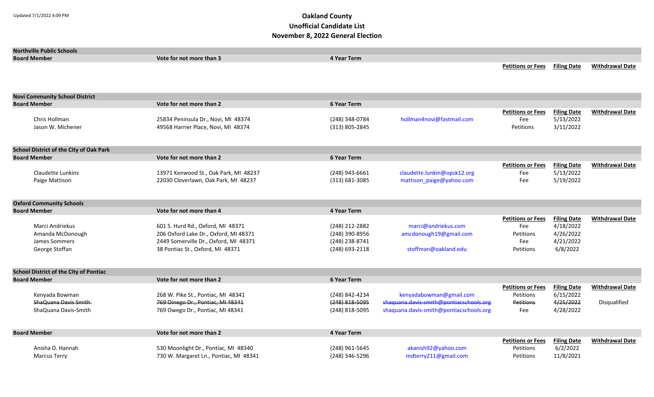| <b>Northville Public Schools</b>               |                                        |                    |                                         |                                 |                                 |                        |
|------------------------------------------------|----------------------------------------|--------------------|-----------------------------------------|---------------------------------|---------------------------------|------------------------|
| <b>Board Member</b>                            | Vote for not more than 3               | <b>4 Year Term</b> |                                         |                                 |                                 |                        |
|                                                |                                        |                    |                                         | <b>Petitions or Fees</b>        | <b>Filing Date</b>              | <b>Withdrawal Date</b> |
|                                                |                                        |                    |                                         |                                 |                                 |                        |
|                                                |                                        |                    |                                         |                                 |                                 |                        |
|                                                |                                        |                    |                                         |                                 |                                 |                        |
| <b>Novi Community School District</b>          |                                        |                    |                                         |                                 |                                 |                        |
| <b>Board Member</b>                            | Vote for not more than 2               | <b>6 Year Term</b> |                                         |                                 |                                 |                        |
| Chris Hollman                                  | 25834 Peninsula Dr., Novi, MI 48374    | (248) 348-0784     | hollman4novi@fastmail.com               | <b>Petitions or Fees</b><br>Fee | <b>Filing Date</b><br>5/13/2022 | <b>Withdrawal Date</b> |
| Jason W. Michener                              | 49568 Harrier Place, Novi, MI 48374    | (313) 805-2845     |                                         |                                 | 3/11/2022                       |                        |
|                                                |                                        |                    |                                         | Petitions                       |                                 |                        |
|                                                |                                        |                    |                                         |                                 |                                 |                        |
| <b>School District of the City of Oak Park</b> |                                        |                    |                                         |                                 |                                 |                        |
| <b>Board Member</b>                            | Vote for not more than 2               | <b>6 Year Term</b> |                                         |                                 |                                 |                        |
|                                                |                                        |                    |                                         | <b>Petitions or Fees</b>        | <b>Filing Date</b>              | <b>Withdrawal Date</b> |
| Claudette Lunkins                              | 13971 Kenwood St., Oak Park, MI 48237  | (248) 943-6661     | claudette.lunkin@opsk12.org             | Fee                             | 5/13/2022                       |                        |
| Paige Mattison                                 | 22030 Cloverlawn, Oak Park, MI 48237   | (313) 681-3085     | mattison_paige@yahoo.com                | Fee                             | 5/19/2022                       |                        |
|                                                |                                        |                    |                                         |                                 |                                 |                        |
|                                                |                                        |                    |                                         |                                 |                                 |                        |
| <b>Oxford Community Schools</b>                |                                        |                    |                                         |                                 |                                 |                        |
| <b>Board Member</b>                            | Vote for not more than 4               | <b>4 Year Term</b> |                                         |                                 |                                 |                        |
|                                                |                                        |                    |                                         | <b>Petitions or Fees</b>        | <b>Filing Date</b>              | <b>Withdrawal Date</b> |
| Marci Andriekus                                | 601 S. Hurd Rd., Oxford, MI 48371      | (248) 212-2882     | marci@andriekus.com                     | Fee                             | 4/18/2022                       |                        |
| Amanda McDonough                               | 206 Oxford Lake Dr., Oxford, MI 48371  | (248) 390-8956     | amcdonough19@gmail.com                  | Petitions                       | 4/26/2022                       |                        |
| James Sommers                                  | 2449 Somerville Dr., Oxford, MI 48371  | (248) 238-8741     |                                         | Fee                             | 4/21/2022                       |                        |
| George Stoffan                                 | 38 Pontiac St., Oxford, MI 48371       | (248) 693-2118     | stoffman@oakland.edu                    | Petitions                       | 6/8/2022                        |                        |
|                                                |                                        |                    |                                         |                                 |                                 |                        |
| <b>School District of the City of Pontiac</b>  |                                        |                    |                                         |                                 |                                 |                        |
| <b>Board Member</b>                            | Vote for not more than 2               | <b>6 Year Term</b> |                                         |                                 |                                 |                        |
|                                                |                                        |                    |                                         | <b>Petitions or Fees</b>        | <b>Filing Date</b>              | <b>Withdrawal Date</b> |
| Kenyada Bowman                                 | 268 W. Pike St., Pontiac, MI 48341     | (248) 842-4234     | kenyadabowman@gmail.com                 | Petitions                       | 6/15/2022                       |                        |
| ShaQuana Davis Smith                           | 769 Oinego Dr., Pontiac, MI 48341      | $(248)$ 818-5095   | shaquana.davis-smith@pontiacschools.org | <b>Petitions</b>                | 4/25/2022                       | Disqualified           |
| ShaQuana Davis-Smith                           | 769 Owego Dr., Pontiac, MI 48341       | (248) 818-5095     | shaquana.davis-smith@pontiacschools.org | Fee                             | 4/28/2022                       |                        |
|                                                |                                        |                    |                                         |                                 |                                 |                        |
| <b>Board Member</b>                            | Vote for not more than 2               | <b>4 Year Term</b> |                                         |                                 |                                 |                        |
|                                                |                                        |                    |                                         | <b>Petitions or Fees</b>        | <b>Filing Date</b>              | <b>Withdrawal Date</b> |
| Anisha D. Hannah                               | 530 Moonlight Dr., Pontiac, MI 48340   | (248) 961-5645     | akanish92@yahoo.com                     | Petitions                       | 6/2/2022                        |                        |
| <b>Marcus Terry</b>                            | 730 W. Margaret Ln., Pontiac, MI 48341 | (248) 346-5296     | mdterry211@gmail.com                    | Petitions                       | 11/8/2021                       |                        |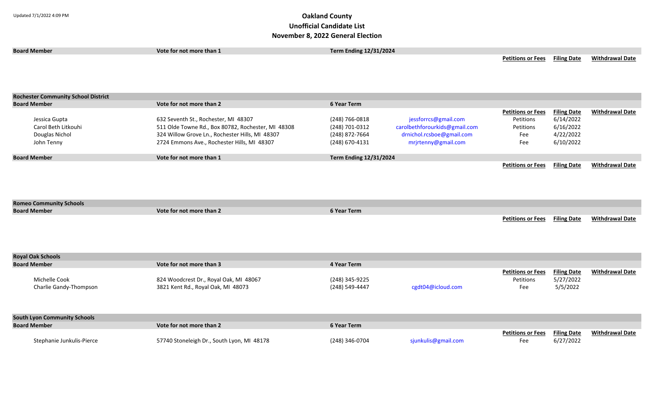| NOVENIDEI O, ZUZZ OENETAI LIECUON          |                                                    |                               |                               |                          |                    |                        |  |
|--------------------------------------------|----------------------------------------------------|-------------------------------|-------------------------------|--------------------------|--------------------|------------------------|--|
| <b>Board Member</b>                        | Vote for not more than 1                           | <b>Term Ending 12/31/2024</b> |                               |                          |                    |                        |  |
|                                            |                                                    |                               |                               | <b>Petitions or Fees</b> | <b>Filing Date</b> | <b>Withdrawal Date</b> |  |
|                                            |                                                    |                               |                               |                          |                    |                        |  |
|                                            |                                                    |                               |                               |                          |                    |                        |  |
|                                            |                                                    |                               |                               |                          |                    |                        |  |
|                                            |                                                    |                               |                               |                          |                    |                        |  |
| <b>Rochester Community School District</b> |                                                    |                               |                               |                          |                    |                        |  |
| <b>Board Member</b>                        | Vote for not more than 2                           | <b>6 Year Term</b>            |                               |                          |                    |                        |  |
|                                            |                                                    |                               |                               | <b>Petitions or Fees</b> | <b>Filing Date</b> | <b>Withdrawal Date</b> |  |
| Jessica Gupta                              | 632 Seventh St., Rochester, MI 48307               | (248) 766-0818                | jessforrcs@gmail.com          | Petitions                | 6/14/2022          |                        |  |
| Carol Beth Litkouhi                        | 511 Olde Towne Rd., Box 80782, Rochester, MI 48308 | (248) 701-0312                | carolbethforourkids@gmail.com | Petitions                | 6/16/2022          |                        |  |
| Douglas Nichol                             | 324 Willow Grove Ln., Rochester Hills, MI 48307    | (248) 872-7664                | drnichol.rcsboe@gmail.com     | Fee                      | 4/22/2022          |                        |  |
| John Tenny                                 | 2724 Emmons Ave., Rochester Hills, MI 48307        | (248) 670-4131                | mrjrtenny@gmail.com           | Fee                      | 6/10/2022          |                        |  |
| <b>Board Member</b>                        | Vote for not more than 1                           | Term Ending 12/31/2024        |                               |                          |                    |                        |  |
|                                            |                                                    |                               |                               | <b>Petitions or Fees</b> | <b>Filing Date</b> | <b>Withdrawal Date</b> |  |
|                                            |                                                    |                               |                               |                          |                    |                        |  |
|                                            |                                                    |                               |                               |                          |                    |                        |  |
|                                            |                                                    |                               |                               |                          |                    |                        |  |
|                                            |                                                    |                               |                               |                          |                    |                        |  |
| <b>Romeo Community Schools</b>             |                                                    |                               |                               |                          |                    |                        |  |
| <b>Board Member</b>                        | Vote for not more than 2                           | <b>6 Year Term</b>            |                               |                          |                    |                        |  |
|                                            |                                                    |                               |                               | <b>Petitions or Fees</b> | <b>Filing Date</b> | <b>Withdrawal Date</b> |  |
|                                            |                                                    |                               |                               |                          |                    |                        |  |
|                                            |                                                    |                               |                               |                          |                    |                        |  |
|                                            |                                                    |                               |                               |                          |                    |                        |  |
|                                            |                                                    |                               |                               |                          |                    |                        |  |
| <b>Royal Oak Schools</b>                   |                                                    |                               |                               |                          |                    |                        |  |
| <b>Board Member</b>                        | Vote for not more than 3                           | 4 Year Term                   |                               |                          |                    |                        |  |
|                                            |                                                    |                               |                               | <b>Petitions or Fees</b> | <b>Filing Date</b> | <b>Withdrawal Date</b> |  |
| Michelle Cook                              | 824 Woodcrest Dr., Royal Oak, MI 48067             | (248) 345-9225                |                               | Petitions                | 5/27/2022          |                        |  |
| Charlie Gandy-Thompson                     | 3821 Kent Rd., Royal Oak, MI 48073                 | (248) 549-4447                | cgdt04@icloud.com             | Fee                      | 5/5/2022           |                        |  |
|                                            |                                                    |                               |                               |                          |                    |                        |  |
|                                            |                                                    |                               |                               |                          |                    |                        |  |
|                                            |                                                    |                               |                               |                          |                    |                        |  |
| <b>South Lyon Community Schools</b>        |                                                    |                               |                               |                          |                    |                        |  |
| <b>Board Member</b>                        | Vote for not more than 2                           | 6 Year Term                   |                               |                          |                    |                        |  |
|                                            |                                                    |                               |                               | <b>Petitions or Fees</b> | <b>Filing Date</b> | <b>Withdrawal Date</b> |  |
| Stephanie Junkulis-Pierce                  | 57740 Stoneleigh Dr., South Lyon, MI 48178         | (248) 346-0704                | sjunkulis@gmail.com           | Fee                      | 6/27/2022          |                        |  |
|                                            |                                                    |                               |                               |                          |                    |                        |  |
|                                            |                                                    |                               |                               |                          |                    |                        |  |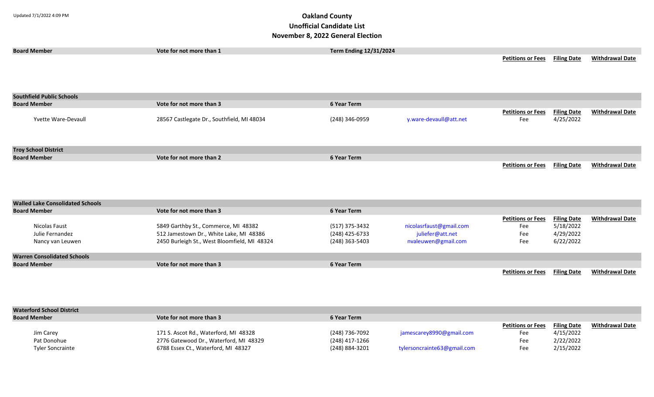| <b>Board Member</b>                     | Vote for not more than 1                     | <b>Term Ending 12/31/2024</b> |                         |                          |                    |                        |
|-----------------------------------------|----------------------------------------------|-------------------------------|-------------------------|--------------------------|--------------------|------------------------|
|                                         |                                              |                               |                         | <b>Petitions or Fees</b> | <b>Filing Date</b> | <b>Withdrawal Date</b> |
|                                         |                                              |                               |                         |                          |                    |                        |
|                                         |                                              |                               |                         |                          |                    |                        |
|                                         |                                              |                               |                         |                          |                    |                        |
| <b>Southfield Public Schools</b>        |                                              |                               |                         |                          |                    |                        |
| <b>Board Member</b>                     | Vote for not more than 3                     | 6 Year Term                   |                         |                          |                    |                        |
|                                         |                                              |                               |                         | <b>Petitions or Fees</b> | <b>Filing Date</b> | <b>Withdrawal Date</b> |
| Yvette Ware-Devaull                     | 28567 Castlegate Dr., Southfield, MI 48034   | (248) 346-0959                | y.ware-devaull@att.net  | Fee                      | 4/25/2022          |                        |
|                                         |                                              |                               |                         |                          |                    |                        |
|                                         |                                              |                               |                         |                          |                    |                        |
| <b>Troy School District</b>             |                                              |                               |                         |                          |                    |                        |
| <b>Board Member</b>                     | Vote for not more than 2                     | 6 Year Term                   |                         |                          |                    |                        |
|                                         |                                              |                               |                         | <b>Petitions or Fees</b> | <b>Filing Date</b> | <b>Withdrawal Date</b> |
|                                         |                                              |                               |                         |                          |                    |                        |
|                                         |                                              |                               |                         |                          |                    |                        |
|                                         |                                              |                               |                         |                          |                    |                        |
| <b>Walled Lake Consolidated Schools</b> |                                              |                               |                         |                          |                    |                        |
| <b>Board Member</b>                     | Vote for not more than 3                     | <b>6 Year Term</b>            |                         |                          |                    |                        |
|                                         |                                              |                               |                         | <b>Petitions or Fees</b> | <b>Filing Date</b> | <b>Withdrawal Date</b> |
| Nicolas Faust                           | 5849 Garthby St., Commerce, MI 48382         | (517) 375-3432                | nicolasrfaust@gmail.com | Fee                      | 5/18/2022          |                        |
| Julie Fernandez                         | 512 Jamestown Dr., White Lake, MI 48386      | (248) 425-6733                | juliefer@att.net        | Fee                      | 4/29/2022          |                        |
| Nancy van Leuwen                        | 2450 Burleigh St., West Bloomfield, MI 48324 | (248) 363-5403                | nvaleuwen@gmail.com     | Fee                      | 6/22/2022          |                        |
|                                         |                                              |                               |                         |                          |                    |                        |
| <b>Warren Consolidated Schools</b>      |                                              |                               |                         |                          |                    |                        |
| <b>Board Member</b>                     | Vote for not more than 3                     | <b>6 Year Term</b>            |                         |                          |                    |                        |
|                                         |                                              |                               |                         | <b>Petitions or Fees</b> | <b>Filing Date</b> | <b>Withdrawal Date</b> |

| <b>Waterford School District</b> |                                        |                |                             |                          |                    |                        |
|----------------------------------|----------------------------------------|----------------|-----------------------------|--------------------------|--------------------|------------------------|
| <b>Board Member</b>              | Vote for not more than 3               | 6 Year Term    |                             |                          |                    |                        |
|                                  |                                        |                |                             | <b>Petitions or Fees</b> | <b>Filing Date</b> | <b>Withdrawal Date</b> |
| Jim Carey                        | 171 S. Ascot Rd., Waterford, MI 48328  | (248) 736-7092 | jamescarey8990@gmail.com    | Fee                      | 4/15/2022          |                        |
| Pat Donohue                      | 2776 Gatewood Dr., Waterford, MI 48329 | (248) 417-1266 |                             | Fee                      | 2/22/2022          |                        |
| <b>Tyler Soncrainte</b>          | 6788 Essex Ct., Waterford, MI 48327    | (248) 884-3201 | tylersoncrainte63@gmail.com | Fee                      | 2/15/2022          |                        |